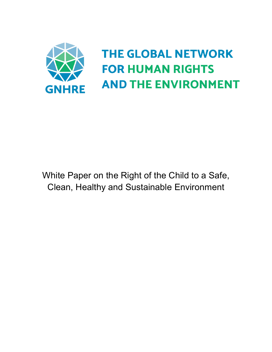

White Paper on the Right of the Child to a Safe, Clean, Healthy and Sustainable Environment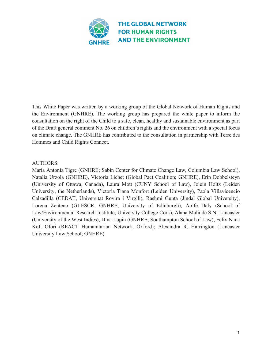

This White Paper was written by a working group of the Global Network of Human Rights and the Environment (GNHRE). The working group has prepared the white paper to inform the consultation on the right of the Child to a safe, clean, healthy and sustainable environment as part of the Draft general comment No. 26 on children's rights and the environment with a special focus on climate change. The GNHRE has contributed to the consultation in partnership with Terre des Hommes and Child Rights Connect.

#### AUTHORS:

Maria Antonia Tigre (GNHRE; Sabin Center for Climate Change Law, Columbia Law School), Natalia Urzola (GNHRE), Victoria Lichet (Global Pact Coalition; GNHRE), Erin Dobbelsteyn (University of Ottawa, Canada), Laura Mott (CUNY School of Law), Jolein Holtz (Leiden University, the Netherlands), Victoria Tiana Monfort (Leiden University), Paola Villavicencio Calzadilla (CEDAT, Universitat Rovira i Virgili), Rashmi Gupta (Jindal Global University), Lorena Zenteno (GI-ESCR, GNHRE, University of Edinburgh), Aoife Daly (School of Law/Environmental Research Institute, University College Cork), Alana Malinde S.N. Lancaster (University of the West Indies), Dina Lupin (GNHRE; Southampton School of Law), Felix Nana Kofi Ofori (REACT Humanitarian Network, Oxford); Alexandra R. Harrington (Lancaster University Law School; GNHRE).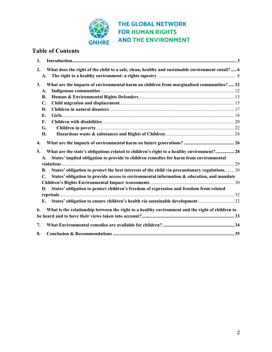

# **Table of Contents**

| 1.             |                                                                                                  |
|----------------|--------------------------------------------------------------------------------------------------|
| 2.             | What does the right of the child to a safe, clean, healthy and sustainable environment entail? 6 |
| A.             |                                                                                                  |
| 3.             | What are the impacts of environmental harm on children from marginalised communities?  12        |
| A.             |                                                                                                  |
| В.             |                                                                                                  |
| $\mathbf{C}$ . |                                                                                                  |
| D.             |                                                                                                  |
| Е.             |                                                                                                  |
| F.             |                                                                                                  |
| G.             |                                                                                                  |
| Н.             |                                                                                                  |
| 4.             |                                                                                                  |
| 5.             | What are the state's obligations related to children's right to a healthy environment? 28        |
| A.             | States' implied obligation to provide to children remedies for harm from environmental           |
|                |                                                                                                  |
| B.             | States' obligation to protect the best interests of the child via precautionary regulations 30   |
| С.             | States' obligation to provide access to environmental information & education, and mandate       |
|                |                                                                                                  |
| D.             | States' obligation to protect children's freedom of expression and freedom from related          |
|                |                                                                                                  |
| E.             | States' obligation to ensure children's health via sustainable development32                     |
| 6.             | What is the relationship between the right to a healthy environment and the right of children to |
|                |                                                                                                  |
|                |                                                                                                  |
| 7.             |                                                                                                  |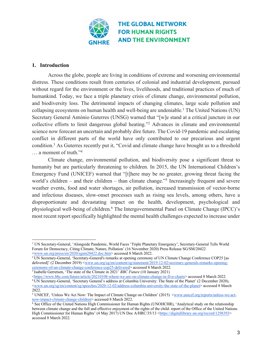

#### **1. Introduction**

Across the globe, people are living in conditions of extreme and worsening environmental distress. These conditions result from centuries of colonial and industrial development, pursued without regard for the environment or the lives, livelihoods, and traditional practices of much of humankind. Today, we face a triple planetary crisis of climate change, environmental pollution, and biodiversity loss. The detrimental impacts of changing climates, large scale pollution and collapsing ecosystems on human health and well-being are undeniable.<sup>1</sup> The United Nations (UN) Secretary General António Guterres (UNSG) warned that "[w]e stand at a critical juncture in our collective efforts to limit dangerous global heating."2 Advances in climate and environmental science now forecast an uncertain and probably dire future. The Covid-19 pandemic and escalating conflict in different parts of the world have only contributed to our precarious and urgent condition.3 As Guterres recently put it, "Covid and climate change have brought us to a threshold … a moment of truth."4

Climate change, environmental pollution, and biodiversity pose a significant threat to humanity but are particularly threatening to children. In 2015, the UN International Children's Emergency Fund (UNICEF) warned that "[t]here may be no greater, growing threat facing the world's children – and their children – than climate change."<sup>5</sup> Increasingly frequent and severe weather events, food and water shortages, air pollution, increased transmission of vector-borne and infectious diseases, slow-onset processes such as rising sea levels, among others, have a disproportionate and devastating impact on the health, development, psychological and physiological well-being of children.6 The Intergovernmental Panel on Climate Change (IPCC)'s most recent report specifically highlighted the mental health challenges expected to increase under

<sup>1</sup> UN Secretary-General, 'Alongside Pandemic, World Faces 'Triple Planetary Emergency', Secretary-General Tells World Forum for Democracy, Citing Climate, Nature, Pollution' (16 November 2020) Press Release SG/SM/20422 <www.un.org/press/en/2020/sgsm20422.doc.htm> accessed 8 March 2022.

<sup>&</sup>lt;sup>2</sup> UN Secretary-General, 'Secretary-General's remarks at opening ceremony of UN Climate Change Conference COP25 [as delivered]' (2 December 2019) <www.un.org/sg/en/content/sg/statement/2019-12-02/secretary-generals-remarks-openingceremony-of-un-climate-change-conference-cop25-delivered> accessed 8 March 2022.

<sup>3</sup> Isabelle Gerretsen, 'The state of the Climate in 2021' *BBC Future* (10 January 2021)

<sup>&</sup>lt;https://www.bbc.com/future/article/20210108-where-we-are-on-climate-change-in-five-charts> accessed 8 March 2022. <sup>4</sup> UN Secretary-General, 'Secretary General's address at Columbia University: The State of the Planet' (2 December 2020), <www.un.org/sg/en/content/sg/speeches/2020-12-02/address-columbia-university-the-state-of-the-planet> accessed 8 March 2022.

<sup>&</sup>lt;sup>5</sup> UNICEF, 'Unless We Act Now: The Impact of Climate Change on Children' (2015) <<u>www.unicef.org/reports/unless-we-act-now-impact-climate-change-children</u>> accessed 8 March 2022.

 $6$  See Office of the United Nations High Commissioner for Human Rights (UNOHCHR), 'Analytical study on the relationship between climate change and the full and effective enjoyment of the rights of the child: report of the Office of the United Nations High Commissioner for Human Rights' (4 May 2017) UN Doc A/HRC/35/13 <https://digitallibrary.un.org/record/1298393> accessed 8 March 2022.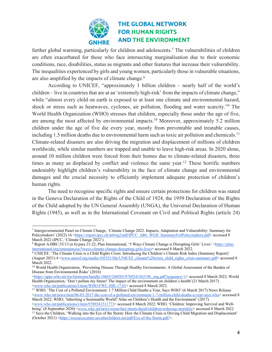

further global warming, particularly for children and adolescents.<sup>7</sup> The vulnerabilities of children are often exacerbated for those who face intersecting marginalisation due to their economic conditions, race, disabilities, status as migrants and other features that increase their vulnerability. The inequalities experienced by girls and young women, particularly those in vulnerable situations, are also amplified by the impacts of climate change.<sup>8</sup>

According to UNICEF, "approximately 1 billion children – nearly half of the world's children – live in countries that are at an 'extremely high-risk' from the impacts of climate change," while "almost every child on earth is exposed to at least one climate and environmental hazard, shock or stress such as heatwaves, cyclones, air pollution, flooding and water scarcity."9 The World Health Organization (WHO) stresses that children, especially those under the age of five, are among the most affected by environmental impacts.10 Moreover, approximately 5.2 million children under the age of five die every year, mostly from preventable and treatable causes, including 1.5 million deaths due to environmental harm such as toxic air pollution and chemicals.<sup>11</sup> Climate-related disasters are also driving the migration and displacement of millions of children worldwide, while similar numbers are trapped and unable to leave high-risk areas. In 2020 alone, around 10 million children were forced from their homes due to climate-related disasters, three times as many as displaced by conflict and violence the same year.<sup>12</sup> These horrific numbers undeniably highlight children's vulnerability in the face of climate change and environmental damages and the crucial necessity to efficiently implement adequate protection of children's human rights.

The need to recognise specific rights and ensure certain protections for children was stated in the Geneva Declaration of the Rights of the Child of 1924, the 1959 Declaration of the Rights of the Child adopted by the UN General Assembly (UNGA), the Universal Declaration of Human Rights (1945), as well as in the International Covenant on Civil and Political Rights (article 24)

<sup>7</sup> Intergovernmental Panel on Climate Change, 'Climate Change 2022. Impacts, Adaptation and Vulnerability: Summary for Policymakers' (2022) 16 <https://report.ipcc.ch/ar6wg2/pdf/IPCC\_AR6\_WGII\_SummaryForPolicymakers.pdf> accessed 8 March 2022 (IPCC, 'Climate Change 2022').

<sup>8</sup> Report A/HRC/35/13 (n 6) para 21-22; Plan International, '5 Ways Climate Change is Disrupting Girls' Lives' <https://planinternational.org/emergencies/5ways-climate-change-disrupting-girls-lives> accessed 8 March 2022.

<sup>9</sup> UNICEF, 'The Climate Crisis is a Child Rights Crisis: Introducing the Children's Climate Risk Index (Summary Report)' (August 2021) 4 <www.unicef.org/media/105531/file/UNICEF\_climate%20crisis\_child\_rights\_crisis-summary.pdf> accessed 8 March 2022.

<sup>&</sup>lt;sup>10</sup> World Health Organization, 'Preventing Disease Through Healthy Environments: A Global Assessment of the Burden of Disease from Environmental Risks' (2016)

<sup>&</sup>lt;https://apps.who.int/iris/bitstream/handle/10665/204585/9789241565196\_eng.pdf?sequence=1> accessed 8 March 2022; World Health Organization, 'Don't pollute my future! The impact of the environment on children's health'(21 March 2017)<br>  $\langle$ www.who.int/publications/i/item/WHO-FWC-IHE-17.01> accessed 8 March 2022.

 $11$  WHO, 'The Cost of a Polluted Environment: 1.7 Million Child Deaths a Year, Says WHO' (6 March 2017) News Release <www.who.int/news/item/06-03-2017-the-cost-of-a-polluted-environment-1-7-million-child-deaths-a-year-says-who> accessed 8 March 2022; WHO, 'Inheriting a Sustainable World? Atlas on Children's Health and the Environment' (2017)

<sup>&</sup>lt;www.who.int/publications/i/item/9789241511773> accessed 8 March 2022; WHO, 'Children: Improving Survival and Well-<sup>12</sup> Save the Children, 'Walking into the Eye of the Storm: How the Climate Crisis is Driving Child Migration and Displacement' (October 2021) <https://resourcecentre.savethechildren.net/pdf/Eye-of-the-Storm.pdf/>.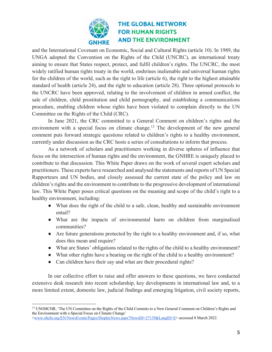

and the International Covenant on Economic, Social and Cultural Rights (article 10). In 1989, the UNGA adopted the Convention on the Rights of the Child (UNCRC), an international treaty aiming to ensure that States respect, protect, and fulfil children's rights. The UNCRC, the most widely ratified human rights treaty in the world, enshrines inalienable and universal human rights for the children of the world, such as the right to life (article 6), the right to the highest attainable standard of health (article 24), and the right to education (article 28). Three optional protocols to the UNCRC have been approved, relating to the involvement of children in armed conflict, the sale of children, child prostitution and child pornography, and establishing a communications procedure, enabling children whose rights have been violated to complain directly to the UN Committee on the Rights of the Child (CRC).

In June 2021, the CRC committed to a General Comment on children's rights and the environment with a special focus on climate change.<sup>13</sup> The development of the new general comment puts forward strategic questions related to children's rights to a healthy environment, currently under discussion as the CRC hosts a series of consultations to inform that process.

As a network of scholars and practitioners working in diverse spheres of influence that focus on the intersection of human rights and the environment, the GNHRE is uniquely placed to contribute to that discussion. This White Paper draws on the work of several expert scholars and practitioners. These experts have researched and analysed the statements and reports of UN Special Rapporteurs and UN bodies, and closely assessed the current state of the policy and law on children's rights and the environment to contribute to the progressive development of international law. This White Paper poses critical questions on the meaning and scope of the child's right to a healthy environment, including:

- What does the right of the child to a safe, clean, healthy and sustainable environment entail?
- What are the impacts of environmental harm on children from marginalised communities?
- Are future generations protected by the right to a healthy environment and, if so, what does this mean and require?
- What are States' obligations related to the rights of the child to a healthy environment?
- What other rights have a bearing on the right of the child to a healthy environment?
- Can children have their say and what are their procedural rights?

In our collective effort to raise and offer answers to these questions, we have conducted extensive desk research into recent scholarship, key developments in international law and, to a more limited extent, domestic law, judicial findings and emerging litigation, civil society reports,

<sup>&</sup>lt;sup>13</sup> UNOHCHR, 'The UN Committee on the Rights of the Child Commits to a New General Comment on Children's Rights and the Environment with a Special Focus on Climate Change' <www.ohchr.org/EN/NewsEvents/Pages/DisplayNews.aspx?NewsID=27139&LangID=E> accessed 8 March 2022.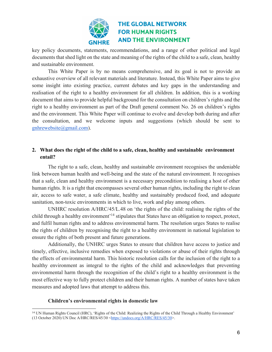

key policy documents, statements, recommendations, and a range of other political and legal documents that shed light on the state and meaning of the rights of the child to a safe, clean, healthy and sustainable environment.

This White Paper is by no means comprehensive, and its goal is not to provide an exhaustive overview of all relevant materials and literature. Instead, this White Paper aims to give some insight into existing practice, current debates and key gaps in the understanding and realisation of the right to a healthy environment for all children. In addition, this is a working document that aims to provide helpful background for the consultation on children's rights and the right to a healthy environment as part of the Draft general comment No. 26 on children's rights and the environment. This White Paper will continue to evolve and develop both during and after the consultation, and we welcome inputs and suggestions (which should be sent to gnhrewebsite@gmail.com).

#### **2. What does the right of the child to a safe, clean, healthy and sustainable environment entail?**

The right to a safe, clean, healthy and sustainable environment recognises the undeniable link between human health and well-being and the state of the natural environment. It recognises that a safe, clean and healthy environment is a necessary precondition to realising a host of other human rights. It is a right that encompasses several other human rights, including the right to clean air, access to safe water, a safe climate, healthy and sustainably produced food, and adequate sanitation, non-toxic environments in which to live, work and play among others.

UNHRC resolution A/HRC/45/L.48 on 'the rights of the child: realising the rights of the child through a healthy environment<sup>'14</sup> stipulates that States have an obligation to respect, protect, and fulfil human rights and to address environmental harm. The resolution urges States to realise the rights of children by recognising the right to a healthy environment in national legislation to ensure the rights of both present and future generations.

Additionally, the UNHRC urges States to ensure that children have access to justice and timely, effective, inclusive remedies when exposed to violations or abuse of their rights through the effects of environmental harm. This historic resolution calls for the inclusion of the right to a healthy environment as integral to the rights of the child and acknowledges that preventing environmental harm through the recognition of the child's right to a healthy environment is the most effective way to fully protect children and their human rights. A number of states have taken measures and adopted laws that attempt to address this.

#### **Children's environmental rights in domestic law**

<sup>14</sup> UN Human Rights Council (HRC), 'Rights of the Child: Realizing the Rights of the Child Through a Healthy Environment' (13 October 2020) UN Doc A/HRC/RES/45/30 <https://undocs.org/A/HRC/RES/45/30>.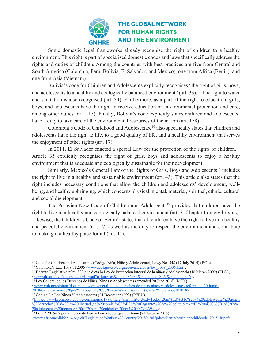

Some domestic legal frameworks already recognise the right of children to a healthy environment. This right is part of specialised domestic codes and laws that specifically address the rights and duties of children. Among the countries with best practices are five from Central and South America (Colombia, Peru, Bolivia, El Salvador, and Mexico), one from Africa (Benin), and one from Asia (Vietnam).

Bolivia's code for Children and Adolescents explicitly recognises "the right of girls, boys, and adolescents to a healthy and ecologically balanced environment" (art. 33).<sup>15</sup> The right to water and sanitation is also recognised (art. 34). Furthermore, as a part of the right to education, girls, boys, and adolescents have the right to receive education on environmental protection and care, among other duties (art. 115). Finally, Bolivia's code explicitly states children and adolescents' have a duty to take care of the environmental resources of the nation (art. 158).

Colombia's Code of Childhood and Adolescence<sup>16</sup> also specifically states that children and adolescents have the right to life, to a good quality of life, and a healthy environment that serves the enjoyment of other rights (art. 17).

In 2011, El Salvador enacted a special Law for the protection of the rights of children.<sup>17</sup> Article 35 explicitly recognises the right of girls, boys and adolescents to enjoy a healthy environment that is adequate and ecologically sustainable for their development.

Similarly, Mexico's General Law of the Rights of Girls, Boys and Adolescents<sup>18</sup> includes the right to live in a healthy and sustainable environment (art. 43). This article also states that the right includes necessary conditions that allow the children and adolescents' development, wellbeing, and healthy upbringing, which concerns physical, mental, material, spiritual, ethnic, cultural and social development.

The Peruvian New Code of Children and Adolescents<sup>19</sup> provides that children have the right to live in a healthy and ecologically balanced environment (art. 3, Chapter I on civil rights). Likewise, the Children's Code of Benin<sup>20</sup> states that all children have the right to live in a healthy and peaceful environment (art. 17) as well as the duty to respect the environment and contribute to making it a healthy place for all (art. 44).

<sup>15</sup> Code for Children and Adolescents (Código Niña, Niño y Adolescente), Lawy No. 548 (17 July 2014) (BOL).

<sup>&</sup>lt;sup>16</sup> Colombia's Law 1098 of 2006 <www.icbf.gov.co/cargues/avance/docs/ley\_1098\_2006.htm>.

<sup>17</sup> Decreto Legislativo núm. 839 que dicta la Ley de Protección integral de la niñez y adolescencia (16 March 2009) (ELSL) <www.ilo.org/dyn/natlex/natlex4.detail?p\_lang=es&p\_isn=84535&p\_country=SLV&p\_count=316>.

<sup>&</sup>lt;sup>18</sup> Ley General de los Derechos de Niñas, Niños y Adolescentes (amended 20 June 2018) (MEX) <www.gob.mx/sipinna/documentos/ley-general-de-los-derechos-de-ninas-ninos-y-adolescentes-reformada-20-junio-2018#:~:text=Tiene%20por%20 objeto%2C%20entre%20otros,(DOF)%2020%20junio%202018>.

<sup>19</sup> Codigo De Los Niños Y Adolescentes (24 December 1992) (PERU)

<sup>&</sup>lt;https://www4.congreso.gob.pe/comisiones/1998/mujer/cna.htm#:~:text=Todo%20ni%C3%B1o%20y%20adolescente%20tienen %20derecho%20a%20la%20libertad.,en%20comisi%C3%B3n%20flagrante%20de%20delito.&text=El%20ni%C3%B1o%20v% 20adolescente%20tienen,y%20a%20ser%20cuidado%20por%20%C3%A9stos>.

<sup>&</sup>lt;sup>20</sup> Loi n° 2015-08 portant code de l'enfant en République du Benin (23 January 2015)

<sup>&</sup>lt;www.africanchildforum.org/clr/Legislation%20Per%20Country/2018%20Update/Benin/benin\_thechildcode\_2015\_fr.pdf>.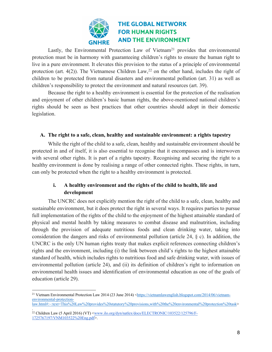

Lastly, the Environmental Protection Law of Vietnam<sup>21</sup> provides that environmental protection must be in harmony with guaranteeing children's rights to ensure the human right to live in a pure environment. It elevates this provision to the status of a principle of environmental protection (art. 4(2)). The Vietnamese Children Law,<sup>22</sup> on the other hand, includes the right of children to be protected from natural disasters and environmental pollution (art. 31) as well as children's responsibility to protect the environment and natural resources (art. 39).

Because the right to a healthy environment is essential for the protection of the realisation and enjoyment of other children's basic human rights, the above-mentioned national children's rights should be seen as best practices that other countries should adopt in their domestic legislation.

#### **A. The right to a safe, clean, healthy and sustainable environment: a rights tapestry**

While the right of the child to a safe, clean, healthy and sustainable environment should be protected in and of itself, it is also essential to recognise that it encompasses and is interwoven with several other rights. It is part of a rights tapestry. Recognising and securing the right to a healthy environment is done by realising a range of other connected rights. These rights, in turn, can only be protected when the right to a healthy environment is protected.

### **i. A healthy environment and the rights of the child to health, life and development**

The UNCRC does not explicitly mention the right of the child to a safe, clean, healthy and sustainable environment, but it does protect the right in several ways. It requires parties to pursue full implementation of the rights of the child to the enjoyment of the highest attainable standard of physical and mental health by taking measures to combat disease and malnutrition, including through the provision of adequate nutritious foods and clean drinking water, taking into consideration the dangers and risks of environmental pollution (article 24, § c). In addition, the UNCRC is the only UN human rights treaty that makes explicit references connecting children's rights and the environment, including (i) the link between child's rights to the highest attainable standard of health, which includes rights to nutritious food and safe drinking water, with issues of environmental pollution (article 24), and (ii) its definition of children's right to information on environmental health issues and identification of environmental education as one of the goals of education (article 29).

<sup>&</sup>lt;sup>21</sup> Vietnam Environmental Protection Law 2014 (23 June 2014) <https://vietnamlawenglish.blogspot.com/2014/06/vietnamenvironmental-protectionlaw.html#:~:text=This%20Law%20provides%20statutory%20provisions,with%20the%20environmental%20protection%20task>

<sup>.</sup> <sup>22</sup> Children Law (5 April 2016) (VT) <<u>www.ilo.org/dyn/natlex/docs/ELECTRONIC/103522/125796/F-</u> 1725767197/VNM103522%20Eng.pdf>.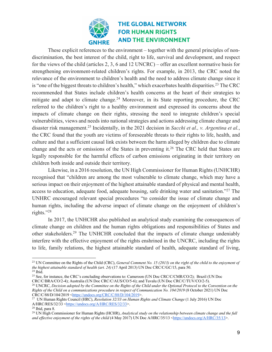

These explicit references to the environment – together with the general principles of nondiscrimination, the best interest of the child, right to life, survival and development, and respect for the views of the child (articles 2, 3, 6 and 12 UNCRC) – offer an excellent normative basis for strengthening environment-related children's rights. For example, in 2013, the CRC noted the relevance of the environment to children's health and the need to address climate change since it is "one of the biggest threats to children's health," which exacerbates health disparities.<sup>23</sup> The CRC recommended that States include children's health concerns at the heart of their strategies to mitigate and adapt to climate change.<sup>24</sup> Moreover, in its State reporting procedure, the CRC referred to the children's right to a healthy environment and expressed its concerns about the impacts of climate change on their rights, stressing the need to integrate children's special vulnerabilities, views and needs into national strategies and actions addressing climate change and disaster risk management.25 Incidentally, in the 2021 decision in *Sacchi et al., v. Argentina et al.*, the CRC found that the youth are victims of foreseeable threats to their rights to life, health, and culture and that a sufficient causal link exists between the harm alleged by children due to climate change and the acts or omissions of the States in preventing it.<sup>26</sup> The CRC held that States are legally responsible for the harmful effects of carbon emissions originating in their territory on children both inside and outside their territory.

Likewise, in a 2016 resolution, the UN High Commissioner for Human Rights (UNHCHR) recognised that "children are among the most vulnerable to climate change, which may have a serious impact on their enjoyment of the highest attainable standard of physical and mental health, access to education, adequate food, adequate housing, safe drinking water and sanitation."<sup>27</sup> The UNHRC encouraged relevant special procedures "to consider the issue of climate change and human rights, including the adverse impact of climate change on the enjoyment of children's rights."28

In 2017, the UNHCHR also published an analytical study examining the consequences of climate change on children and the human rights obligations and responsibilities of States and other stakeholders.29 The UNHCHR concluded that the impacts of climate change undeniably interfere with the effective enjoyment of the rights enshrined in the UNCRC, including the rights to life, family relations, the highest attainable standard of health, adequate standard of living,

<sup>&</sup>lt;sup>23</sup> UN Committee on the Rights of the Child (CRC), *General Comment No. 15 (2013) on the right of the child to the enjoyment of the highest attainable standard of health (art. 24)* (17 April 2013) UN Doc CRC/C/GC/15, para 50. 24 Ibid.

<sup>&</sup>lt;sup>25</sup> See, for instance, the CRC's concluding observations to: Cameroon (UN Doc CRC/C/CMR/CO/2); Brazil (UN Doc CRC/C/BRA/CO/2-4); Australia (UN Doc CRC/C/AUS/CO/5-6); and Tuvalu (UN Doc CRC/C/TUV/CO/2-5).

<sup>&</sup>lt;sup>26</sup> UNCRC, *Decision adopted by the Committee on the Rights of the Child under the Optional Protocol to the Convention on the Rights of the Child on a communications procedure in respect of Communication No. 104/2019* (8 October 2021) UN Doc CRC/C/88/D/104/2019 <https://undocs.org/CRC/C/88/D/104/2019>.

<sup>27</sup> UN Human Rights Council (HRC), *Resolution 32/33 on Human Rights and Climate Change* (1 July 2016) UN Doc A/HRC/RES/32/33 <https://undocs.org/A/HRC/RES/32/33>.

<sup>28</sup> Ibid, para 8.

<sup>29</sup> UN High Commissioner for Human Rights (HCHR), *Analytical study on the relationship between climate change and the full and effective enjoyment of the rights of the child* (4 May 2017) UN Doc A/HRC/35/13 <https://undocs.org/A/HRC/35/13>.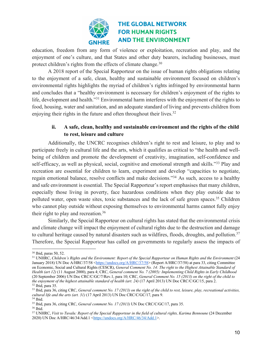

education, freedom from any form of violence or exploitation, recreation and play, and the enjoyment of one's culture, and that States and other duty bearers, including businesses, must protect children's rights from the effects of climate change.<sup>30</sup>

A 2018 report of the Special Rapporteur on the issue of human rights obligations relating to the enjoyment of a safe, clean, healthy and sustainable environment focused on children's environmental rights highlights the myriad of children's rights infringed by environmental harm and concludes that a "healthy environment is necessary for children's enjoyment of the rights to life, development and health."31 Environmental harm interferes with the enjoyment of the rights to food, housing, water and sanitation, and an adequate standard of living and prevents children from enjoying their rights in the future and often throughout their lives.<sup>32</sup>

### **ii. A safe, clean, healthy and sustainable environment and the rights of the child to rest, leisure and culture**

Additionally, the UNCRC recognises children's right to rest and leisure, to play and to participate freely in cultural life and the arts, which it qualifies as critical to "the health and wellbeing of children and promote the development of creativity, imagination, self-confidence and self-efficacy, as well as physical, social, cognitive and emotional strength and skills."<sup>33</sup> Play and recreation are essential for children to learn, experiment and develop "capacities to negotiate, regain emotional balance, resolve conflicts and make decisions."34 As such, access to a healthy and safe environment is essential. The Special Rapporteur's report emphasises that many children, especially those living in poverty, face hazardous conditions when they play outside due to polluted water, open waste sites, toxic substances and the lack of safe green spaces.<sup>35</sup> Children who cannot play outside without exposing themselves to environmental harms cannot fully enjoy their right to play and recreation.36

Similarly, the Special Rapporteur on cultural rights has stated that the environmental crisis and climate change will impact the enjoyment of cultural rights due to the destruction and damage to cultural heritage caused by natural disasters such as wildfires, floods, droughts, and pollution.<sup>37</sup> Therefore, the Special Rapporteur has called on governments to regularly assess the impacts of

<sup>30</sup> Ibid, paras 50, 52.

<sup>&</sup>lt;sup>31</sup> UNHRC, *Children's Rights and the Environment: Report of the Special Rapporteur on Human Rights and the Environment* (24 January 2018) UN Doc A/HRC/37/58 <https://undocs.org/A/HRC/37/58> (Report A/HRC/37/58) at para 33, citing Committee on Economic, Social and Cultural Rights (CESCR), *General Comment No. 14: The right to the Highest Attainable Standard of Health (art 12)* (11 August 2000), para 4; CRC, *General comment No. 7 (2005): Implementing Child Rights in Early Childhood*  (20 September 2006) UN Doc CRC/C/GC/7/Rev.1, para 10; CRC, *General Comment No. 15 (2013) on the right of the child to*   $\frac{32}{101}$  Ibid, para 35.<br> $\frac{33}{101}$  Ibid, para 36, citing CRC, *General comment No. 17 (2013) on the right of the child to rest, leisure, play, recreational activities,* 

*cultural life and the arts (art. 31)* (17 April 2013) UN Doc CRC/C/GC/17, para 9.

<sup>34</sup> Ibid.

<sup>35</sup> Ibid, para 36, citing CRC, *General comment No. 17 (2013)* UN Doc CRC/C/GC/17, para 35. <sup>36</sup> Ibid.

<sup>&</sup>lt;sup>37</sup> UNHRC, *Visit to Tuvalu: Report of the Special Rapporteur in the field of cultural rights, Karima Bennoune (24 December* 2020) UN Doc A/HRC/46/34/Add.1 <https://undocs.org/A/HRC/46/34/Add.1>.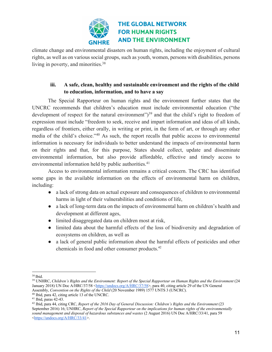

climate change and environmental disasters on human rights, including the enjoyment of cultural rights, as well as on various social groups, such as youth, women, persons with disabilities, persons living in poverty, and minorities.<sup>38</sup>

### **iii. A safe, clean, healthy and sustainable environment and the rights of the child to education, information, and to have a say**

The Special Rapporteur on human rights and the environment further states that the UNCRC recommends that children's education must include environmental education ("the development of respect for the natural environment")<sup>39</sup> and that the child's right to freedom of expression must include "freedom to seek, receive and impart information and ideas of all kinds, regardless of frontiers, either orally, in writing or print, in the form of art, or through any other media of the child's choice."40 As such, the report recalls that public access to environmental information is necessary for individuals to better understand the impacts of environmental harm on their rights and that, for this purpose, States should collect, update and disseminate environmental information, but also provide affordable, effective and timely access to environmental information held by public authorities.<sup>41</sup>

Access to environmental information remains a critical concern. The CRC has identified some gaps in the available information on the effects of environmental harm on children, including:

- a lack of strong data on actual exposure and consequences of children to environmental harms in light of their vulnerabilities and conditions of life,
- a lack of long-term data on the impacts of environmental harm on children's health and development at different ages,
- limited disaggregated data on children most at risk,
- limited data about the harmful effects of the loss of biodiversity and degradation of ecosystems on children, as well as
- a lack of general public information about the harmful effects of pesticides and other chemicals in food and other consumer products.42

<sup>&</sup>lt;sup>38</sup> Ibid.<br><sup>39</sup> UNHRC, *Children's Rights and the Environment: Report of the Special Rapporteur on Human Rights and the Environment (24* January 2018) UN Doc A/HRC/37/58 <https://undocs.org/A/HRC/37/58>, para 40, citing article 29 of the UN General Assembly, *Convention on the Rights of the Child* (20 November 1989) 1577 UNTS 3 (UNCRC).

<sup>40</sup> Ibid, para 42, citing article 13 of the UNCRC. 41 Ibid, paras 42-43.

<sup>42</sup> Ibid, para 44, citing CRC, *Report of the 2016 Day of General Discussion: Children's Rights and the Environment* (23 September 2016) 16; UNHRC, *Report of the Special Rapporteur on the implications for human rights of the environmentally sound management and disposal of hazardous substances and wastes* (2 August 2016) UN Doc A/HRC/33/41, para 59 <https://undocs.org/A/HRC/33/41>.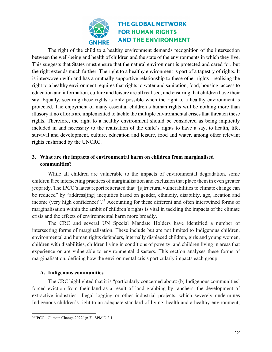

The right of the child to a healthy environment demands recognition of the intersection between the well-being and health of children and the state of the environments in which they live. This suggests that States must ensure that the natural environment is protected and cared for, but the right extends much further. The right to a healthy environment is part of a tapestry of rights. It is interwoven with and has a mutually supportive relationship to these other rights - realising the right to a healthy environment requires that rights to water and sanitation, food, housing, access to education and information, culture and leisure are all realised, and ensuring that children have their say. Equally, securing these rights is only possible when the right to a healthy environment is protected. The enjoyment of many essential children's human rights will be nothing more than illusory if no efforts are implemented to tackle the multiple environmental crises that threaten these rights. Therefore, the right to a healthy environment should be considered as being implicitly included in and necessary to the realisation of the child's rights to have a say, to health, life, survival and development, culture, education and leisure, food and water, among other relevant rights enshrined by the UNCRC.

### **3. What are the impacts of environmental harm on children from marginalised communities?**

While all children are vulnerable to the impacts of environmental degradation, some children face intersecting practices of marginalisation and exclusion that place them in even greater jeopardy. The IPCC's latest report reiterated that "[s]tructural vulnerabilities to climate change can be reduced" by "address[ing] inequities based on gender, ethnicity, disability, age, location and income (very high confidence)". <sup>43</sup> Accounting for these different and often intertwined forms of marginalisation within the ambit of children's rights is vital in tackling the impacts of the climate crisis and the effects of environmental harm more broadly.

The CRC and several UN Special Mandate Holders have identified a number of intersecting forms of marginalisation. These include but are not limited to Indigenous children, environmental and human rights defenders, internally displaced children, girls and young women, children with disabilities, children living in conditions of poverty, and children living in areas that experience or are vulnerable to environmental disasters. This section analyses these forms of marginalisation, defining how the environmental crisis particularly impacts each group.

#### **A. Indigenous communities**

The CRC highlighted that it is "particularly concerned about: (b) Indigenous communities' forced eviction from their land as a result of land grabbing by ranchers, the development of extractive industries, illegal logging or other industrial projects, which severely undermines Indigenous children's right to an adequate standard of living, health and a healthy environment;

<sup>43</sup> IPCC, 'Climate Change 2022' (n 7), SPM.D.2.1.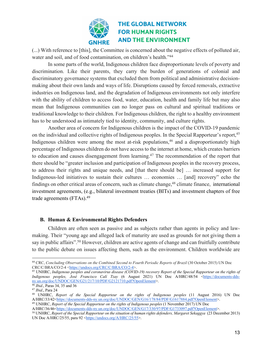

(...) With reference to [this], the Committee is concerned about the negative effects of polluted air, water and soil, and of food contamination, on children's health."<sup>44</sup>

In some parts of the world, Indigenous children face disproportionate levels of poverty and discrimination. Like their parents, they carry the burden of generations of colonial and discriminatory governance systems that excluded them from political and administrative decisionmaking about their own lands and ways of life. Disruptions caused by forced removals, extractive industries on Indigenous land, and the degradation of Indigenous environments not only interfere with the ability of children to access food, water, education, health and family life but may also mean that Indigenous communities can no longer pass on cultural and spiritual traditions or traditional knowledge to their children. For Indigenous children, the right to a healthy environment has to be understood as intimately tied to identity, community, and culture rights.

Another area of concern for Indigenous children is the impact of the COVID-19 pandemic on the individual and collective rights of Indigenous peoples. In the Special Rapporteur's report, <sup>45</sup> Indigenous children were among the most at-risk populations,  $46$  and a disproportionately high percentage of Indigenous children do not have access to the internet at home, which creates barriers to education and causes disengagement from learning.<sup>47</sup> The recommendation of the report that there should be "greater inclusion and participation of Indigenous peoples in the recovery process, to address their rights and unique needs, and [that there should be] … increased support for Indigenous-led initiatives to sustain their cultures … economies … [and] recovery" echo the findings on other critical areas of concern, such as climate change,<sup>48</sup> climate finance, international investment agreements, (e.g., bilateral investment treaties (BITs) and investment chapters of free trade agreements (FTAs).49

#### **B. Human & Environmental Rights Defenders**

Children are often seen as passive and as subjects rather than agents in policy and lawmaking. Their "young age and alleged lack of maturity are used as grounds for not giving them a say in public affairs".<sup>50</sup> However, children are active agents of change and can fruitfully contribute to the public debate on issues affecting them, such as the environment. Children worldwide are

<sup>44</sup> CRC, *Concluding Observations on the Combined Second to Fourth Periodic Reports of Brazil* (30 October 2015) UN Doc

<sup>&</sup>lt;sup>45</sup> UNHRC, *Indigenous peoples and coronavirus disease (COVID-19) recovery Report of the Special Rapporteur on the rights of Indigenous peoples, José Francisco Calí Tzay* (6 August 2021) UN Doc A/HRC/48/54 <https://documents-ddsny.un.org/doc/UNDOC/GEN/G21/217/10/PDF/G2121710.pdf?OpenElement>.

<sup>46</sup> *Ibid*., Paras 34, 35 and 36 47 *Ibid*., Para 24

<sup>48</sup> UNHRC, *Report of the Special Rapporteur on the rights of Indigenous peoples* (11 August 2016) UN Doc A/HRC/33/42<https://documents-dds-ny.un.org/doc/UNDOC/GEN/G16/178/84/PDF/G1617884.pdf?OpenElement>. <sup>49</sup> UNHRC, *Report of the Special Rapporteur on the rights of Indigenous peoples* (1 November 2017) UN Doc

A/HRC/36/46<https://documents-dds-ny.un.org/doc/UNDOC/GEN/G17/330/97/PDF/G1733097.pdf?OpenElement>.

<sup>50</sup> UNHRC, *Report of the Special Rapporteur on the situation of human rights defenders, Margaret Sekaggya* (23 December 2013) UN Doc A/HRC/25/55, para 92 <https://undocs.org/A/HRC/25/55>.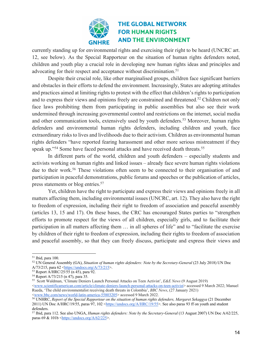

currently standing up for environmental rights and exercising their right to be heard (UNCRC art. 12, see below). As the Special Rapporteur on the situation of human rights defenders noted, children and youth play a crucial role in developing new human rights ideas and principles and advocating for their respect and acceptance without discrimination.<sup>51</sup>

Despite their crucial role, like other marginalised groups, children face significant barriers and obstacles in their efforts to defend the environment. Increasingly, States are adopting attitudes and practices aimed at limiting rights to protest with the effect that children's rights to participation and to express their views and opinions freely are constrained and threatened.<sup>52</sup> Children not only face laws prohibiting them from participating in public assemblies but also see their work undermined through increasing governmental control and restrictions on the internet, social media and other communication tools, extensively used by youth defenders.<sup>53</sup> Moreover, human rights defenders and environmental human rights defenders, including children and youth, face extraordinary risks to lives and livelihoods due to their activism. Children as environmental human rights defenders "have reported fearing harassment and other more serious mistreatment if they speak up."<sup>54</sup> Some have faced personal attacks and have received death threats.<sup>55</sup>

In different parts of the world, children and youth defenders – especially students and activists working on human rights and linked issues – already face severe human rights violations due to their work.<sup>56</sup> These violations often seem to be connected to their organisation of and participation in peaceful demonstrations, public forums and speeches or the publication of articles, press statements or blog entries.57

Yet, children have the right to participate and express their views and opinions freely in all matters affecting them, including environmental issues (UNCRC, art. 12). They also have the right to freedom of expression, including their right to freedom of association and peaceful assembly (articles 13, 15 and 17). On these bases, the CRC has encouraged States parties to "strengthen efforts to promote respect for the views of all children, especially girls, and to facilitate their participation in all matters affecting them … in all spheres of life" and to "facilitate the exercise by children of their right to freedom of expression, including their rights to freedom of association and peaceful assembly, so that they can freely discuss, participate and express their views and

<sup>&</sup>lt;sup>51</sup> Ibid, para 100.<br><sup>52</sup> UN General Assembly (GA), *Situation of human rights defenders: Note by the Secretary-General* (23 July 2018) UN Doc A/73/215, para 62 < $\frac{\text{https://undocs.org/A/73/215}>}{\text{Report A/HRC}/25/55}$  (n 45), para 92.

<sup>&</sup>lt;sup>54</sup> Report A/73/215 (n 47), para 35.

<sup>55</sup> Scott Waldman, 'Climate Deniers Launch Personal Attacks on Teen Activist', *E&E News* (9 August 2019)

<sup>&</sup>lt;www.scientificamerican.com/article/climate-deniers-launch-personal-attacks-on-teen-activist> accessed 9 March 2022; Manuel Rueda, 'The child environmentalist receiving death threats in Colombia', *BBC News*, (27 January 2021)

<sup>&</sup>lt;sup>56</sup> UNHRC, *Report of the Special Rapporteur on the situation of human rights defenders, Margaret Sekaggya (21 December* 2011) UN Doc A/HRC/19/55, paras 97, 102 <https://undocs.org/A/HRC/19/55>. See also paras 93 ff on youth and student defenders.

<sup>57</sup> Ibid, para 112. See also UNGA, *Human rights defenders: Note by the Secretary-General* (13 August 2007) UN Doc A/62/225, paras  $69 & 101b <$ https://undocs.org/A/62/225>.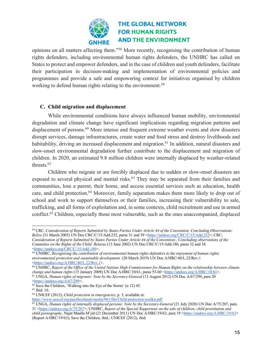

opinions on all matters affecting them."58 More recently, recognising the contribution of human rights defenders, including environmental human rights defenders, the UNHRC has called on States to protect and empower defenders, and in the case of children and youth defenders, facilitate their participation in decision-making and implementation of environmental policies and programmes and provide a safe and empowering context for initiatives organised by children working to defend human rights relating to the environment.59

#### **C. Child migration and displacement**

While environmental conditions have always influenced human mobility, environmental degradation and climate change have significant implications regarding migration patterns and displacement of persons.<sup>60</sup> More intense and frequent extreme weather events and slow disasters disrupt services, damage infrastructures, create water and food stress and destroy livelihoods and habitability, driving an increased displacement and migration.<sup>61</sup> In addition, natural disasters and slow-onset environmental degradation further contribute to the displacement and migration of children. In 2020, an estimated 9.8 million children were internally displaced by weather-related threats.62

Children who migrate or are forcibly displaced due to sudden or slow-onset disasters are exposed to several physical and mental risks.<sup>63</sup> They may be separated from their families and communities, lose a parent, their home, and access essential services such as education, health care, and child protection.<sup>64</sup> Moreover, family separation makes them more likely to drop out of school and work to support themselves or their families, increasing their vulnerability to sale, trafficking, and all forms of exploitation and, in some contexts, child recruitment and use in armed conflict.65 Children, especially those most vulnerable, such as the ones unaccompanied, displaced

<sup>58</sup> CRC, *Consideration of Reports Submitted by States Parties Under Article 44 of the Convention, Concluding Observations: Belize* (31 March 2005) UN Doc CRC/C/15/Add.252, paras 31 and 39 <https://undocs.org/CRC/C/15/Add.252>; CRC, *Consideration of Reports Submitted by States Parties Under Article 44 of the Convention:, Concluding observations of the* 

*Committee on the Rights of the Child: Belarus* (13 June 2002) UN Doc CRC/C/15/Add.180, paras 32 and 34 <https://undocs.org/CRC/C/15/Add.180>.

<sup>59</sup> UNHRC, *Recognizing the contribution of environmental human rights defenders to the enjoyment of human rights, environmental protection and sustainable development* (20 March 2019) UN Doc A/HRC/40/L.22/Rev.1 <https://undocs.org/A/HRC/40/L.22/Rev.1>.

<sup>&</sup>lt;sup>60</sup> UNHRC, *Report of the Office of the United Nations High Commissioner for Human Rights on the relationship between climate change and human rights (15 January 2009) UN Doc A/HRC/10/61, paras 55-60*  $\lt$ *https://undocs.o* <sup>61</sup> UNGA, *Human rights of migrants: Note by the Secretary-General* (13 August 2012) UN Doc A/67/299, para 20 <https://undocs.org/A/67/299>.

 $62$  Save the Children, 'Walking into the Eye of the Storm' (n 12) 45.  $63$  Ibid. 10.

<sup>64</sup> UNICEF (2012), *Child protection in emergencies*, p. 3, available at:

https://www.unicef.org/pacificislands/media/961/file/Child-protection-toolkit.pdf

<sup>65</sup> UNGA, *Human rights of internally displaced persons: Note by the Secretary-General* (21 July 2020) UN Doc A/75/207, para 31 <https://undocs.org/A/75/207>; UNHRC, *Report of the Special Rapporteur on the sale of children, child prostitution and child pornography*, Najat Maalla M'jid (21 December 2011) UN Doc A/HRC/19/63, para 19 <https://undocs.org/A/HRC/19/63> (Report A/HRC/19/63); Save the Children, ibid.; UNICEF (2012), ibid.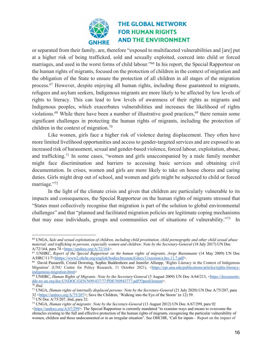

or separated from their family, are, therefore "exposed to multifaceted vulnerabilities and [are] put at a higher risk of being trafficked, sold and sexually exploited, coerced into child or forced marriages, and used in the worst forms of child labour."66 In his report, the Special Rapporteur on the human rights of migrants, focused on the protection of children in the context of migration and the obligation of the State to ensure the protection of all children in all stages of the migration process.67 However, despite enjoying all human rights, including those guaranteed to migrants, refugees and asylum seekers, Indigenous migrants are more likely to be affected by low levels of rights to literacy. This can lead to low levels of awareness of their rights as migrants and Indigenous peoples, which exacerbates vulnerabilities and increases the likelihood of rights violations.<sup>68</sup> While there have been a number of illustrative good practices,<sup>69</sup> there remain some significant challenges in protecting the human rights of migrants, including the protection of children in the context of migration.70

Like women, girls face a higher risk of violence during displacement. They often have more limited livelihood opportunities and access to gender-targeted services and are exposed to an increased risk of harassment, sexual and gender-based violence, forced labour, exploitation, abuse, and trafficking.71 In some cases, "women and girls unaccompanied by a male family member might face discrimination and barriers to accessing basic services and obtaining civil documentation. In crises, women and girls are more likely to take on house chores and caring duties. Girls might drop out of school, and women and girls might be subjected to child or forced marriage."72

In the light of the climate crisis and given that children are particularly vulnerable to its impacts and consequences, the Special Rapporteur on the human rights of migrants stressed that "States must collectively recognise that migration is part of the solution to global environmental challenges" and that "planned and facilitated migration policies are legitimate coping mechanisms that may ease individuals, groups and communities out of situations of vulnerability."73 In

<sup>66</sup> UNGA, *Sale and sexual exploitation of children, including child prostitution, child pornography and other child sexual abuse material; and trafficking in persons, especially women and children: Note by the Secretary-General* (18 July 2017) UN Doc A/72/164, para 74 <https://undocs.org/A/72/164>.

<sup>67</sup> UNHRC, *Report of the Special Rapporteur on the human rights of migrants, Jorge Bustamante* (14 May 2009) UN Doc A/HRC/11/7<hhttps://www2.ohchr.org/english/bodies/hrcouncil/docs/11session/a.hrc.11.7.pdf>.

<sup>&</sup>lt;sup>68</sup> David Passarelli, Cristal Downing, Sophie Buddenhorn and Jennifer Allsopp, 'Rights Literacy in the Context of Indigenous Migration' (UNU Centre for Policy Research, 11 October 2021), <https://cpr.unu.edu/publications/articles/rights-literacyindigenous-migration.html><br><sup>69</sup> UNHRC, *Human Rights of Migrants: Note by the Secretary-General* (3 August 2009) UN Doc A/64/213, <https://documents-

dds-ny.un.org/doc/UNDOC/GEN/N09/437/77/PDF/N0943777.pdf?OpenElement>.

<sup>70</sup> *Ibid.*

<sup>71</sup> UNGA, *Human rights of internally displaced persons: Note by the Secretary-General* (21 July 2020) UN Doc A/75/207, para  $32 \leq \frac{\text{https://undocs.org/A/75/207>}}{12}$ ; Save the Children, 'Walking into the Eye of the Storm' (n 12) 59.

<sup>72</sup> UN Doc A/75/207, ibid, para 32.

<sup>73</sup> UNGA, *Human rights of migrants: Note by the Secretary-General* (13 August 2012) UN Doc A/67/299, para 92 <https://undocs.org/A/67/299>. The Special Rapporteur is currently mandated "to examine ways and means to overcome the obstacles existing to the full and effective protection of the human rights of migrants, recognizing the particular vulnerability of women, children and those undocumented or in an irregular situation". See OHCHR, 'Call for inputs – Report on the impact of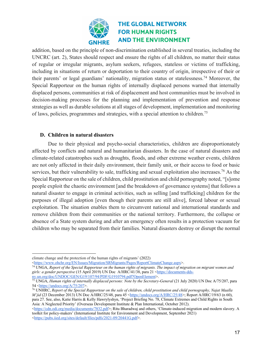

addition, based on the principle of non-discrimination established in several treaties, including the UNCRC (art. 2), States should respect and ensure the rights of all children, no matter their status of regular or irregular migrants, asylum seekers, refugees, stateless or victims of trafficking, including in situations of return or deportation to their country of origin, irrespective of their or their parents' or legal guardians' nationality, migration status or statelessness.74 Moreover, the Special Rapporteur on the human rights of internally displaced persons warned that internally displaced persons, communities at risk of displacement and host communities must be involved in decision-making processes for the planning and implementation of prevention and response strategies as well as durable solutions at all stages of development, implementation and monitoring of laws, policies, programmes and strategies, with a special attention to children.75

#### **D. Children in natural disasters**

Due to their physical and psycho-social characteristics, children are disproportionately affected by conflicts and natural and humanitarian disasters. In the case of natural disasters and climate-related catastrophes such as droughts, floods, and other extreme weather events, children are not only affected in their daily environment, their family unit, or their access to food or basic services, but their vulnerability to sale, trafficking and sexual exploitation also increases.<sup>76</sup> As the Special Rapporteur on the sale of children, child prostitution and child pornography noted, "[s]ome people exploit the chaotic environment [and the breakdown of governance systems] that follows a natural disaster to engage in criminal activities, such as selling [and trafficking] children for the purposes of illegal adoption [even though their parents are still alive], forced labour or sexual exploitation. The situation enables them to circumvent national and international standards and remove children from their communities or the national territory. Furthermore, the collapse or absence of a State system during and after an emergency often results in a protection vacuum for children who may be separated from their families. Natural disasters destroy or disrupt the normal

<https://www.ohchr.org/EN/Issues/Migration/SRMigrants/Pages/ReportClimateChange.aspx>.

<sup>74</sup> UNGA, *Report of the Special Rapporteur on the human rights of migrants. The impact of migration on migrant women and girls: a gender perspective* (15 April 2019) UN Doc A/HRC/41/38, para 21 <https://documents-ddsny.un.org/doc/UNDOC/GEN/G19/107/94/PDF/G1910794.pdf?OpenElement>.

<sup>76</sup> UNHRC, *Report of the Special Rapporteur on the sale of children, child prostitution and child pornography, Najat Maalla M'jid* (23 December 2013) UN Doc A/HRC/25/48, para 45 <https://undocs.org/A/HRC/25/48>; Report A/HRC/19/63 (n 60), para 27. See, also, Katie Harris & Kelly Hawrylyshyn, 'Project Briefing No. 78, Climate Extremes and Child Rights in South Asia: A Neglected Priority' (Overseas Development Institute & Plan International, October 2012).

<https://cdn.odi.org/media/documents/7832.pdf>; Ritu Bharadwaj and others, 'Climate-induced migration and modern slavery. A toolkit for policy-makers' (International Institute for Environment and Development, September 2021) <https://pubs.iied.org/sites/default/files/pdfs/2021-09/20441G.pdf>.

climate change and the protection of the human rights of migrants' (2022)

<sup>75</sup> UNGA, *Human rights of internally displaced persons: Note by the Secretary-General* (21 July 2020) UN Doc A/75/207, para 54 <https://undocs.org/A/75/207>.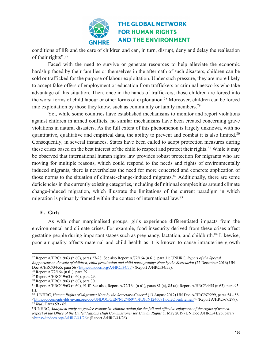

conditions of life and the care of children and can, in turn, disrupt, deny and delay the realisation of their rights". 77

Faced with the need to survive or generate resources to help alleviate the economic hardship faced by their families or themselves in the aftermath of such disasters, children can be sold or trafficked for the purpose of labour exploitation. Under such pressure, they are more likely to accept false offers of employment or education from traffickers or criminal networks who take advantage of this situation. Then, once in the hands of traffickers, those children are forced into the worst forms of child labour or other forms of exploitation.78 Moreover, children can be forced into exploitation by those they know, such as community or family members.79

Yet, while some countries have established mechanisms to monitor and report violations against children in armed conflicts, no similar mechanisms have been created concerning grave violations in natural disasters. As the full extent of this phenomenon is largely unknown, with no quantitative, qualitative and empirical data, the ability to prevent and combat it is also limited.<sup>80</sup> Consequently, in several instances, States have been called to adopt protection measures during these crises based on the best interest of the child to respect and protect their rights.<sup>81</sup> While it may be observed that international human rights law provides robust protection for migrants who are moving for multiple reasons, which could respond to the needs and rights of environmentally induced migrants, there is nevertheless the need for more concerted and concrete application of those norms to the situation of climate-change-induced migrants.<sup>82</sup> Additionally, there are some deficiencies in the currently existing categories, including definitional complexities around climate change-induced migration, which illustrate the limitations of the current paradigm in which migration is primarily framed within the context of international law.83

#### **E. Girls**

As with other marginalised groups, girls experience differentiated impacts from the environmental and climate crises. For example, food insecurity derived from these crises affect gestating people during important stages such as pregnancy, lactation, and childbirth.<sup>84</sup> Likewise, poor air quality affects maternal and child health as it is known to cause intrauterine growth

<sup>77</sup> Report A/HRC/19/63 (n 60), paras 27-28. See also Report A/72/164 (n 61), para 31; UNHRC, *Report of the Special Rapporteur on the sale of children, child prostitution and child pornography: Note by the Secretariat (22 December 2016) UN* Doc A/HRC/34/55, para 56 < $\frac{https://undocs.org/A/HRC/34/55>}{https://undocs.org/A/HRC/34/55>}$  (Report A/HRC/34/55).<br><sup>78</sup> Report A/72/164 (n 61), para 29.<br><sup>79</sup> Report A/HRC/19/63 (n 60), para 29.

<sup>80</sup> Report A/HRC/19/63 (n 60), para 30.

<sup>81</sup> Report A/HRC/19/63 (n 60), 91 ff. See also, Report A/72/164 (n 61), paras 81 (a), 85 (a); Report A/HRC/34/55 (n 63), para 95 (I).

<sup>82</sup> UNHRC, *Human Rights of Migrants: Note by the Secretary-General* (13 August 2012) UN Doc A/HRC/67/299, paras 54 - 58 <https://documents-dds-ny.un.org/doc/UNDOC/GEN/N12/460/71/PDF/N1246071.pdf?OpenElement> (Report A/HRC/67/299).<br><sup>83</sup> Ibid., Paras 59 - 65.<br><sup>84</sup>UNHRC, Analytical study on gender-responsive climate action for the full and eff

*Report of the Office of the United Nations High Commissioner for Human Rights* (1 May 2019) UN Doc A/HRC/41/26, para 7 <https://undocs.org/A/HRC/41/26> (Report A/HRC/41/26).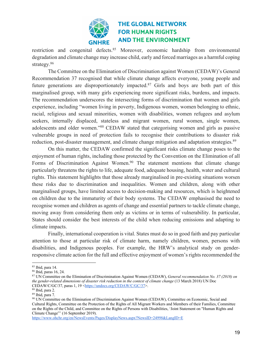

restriction and congenital defects.<sup>85</sup> Moreover, economic hardship from environmental degradation and climate change may increase child, early and forced marriages as a harmful coping strategy.<sup>86</sup>

The Committee on the Elimination of Discrimination against Women (CEDAW)'s General Recommendation 37 recognised that while climate change affects everyone, young people and future generations are disproportionately impacted.<sup>87</sup> Girls and boys are both part of this marginalised group, with many girls experiencing more significant risks, burdens, and impacts. The recommendation underscores the intersecting forms of discrimination that women and girls experience, including "women living in poverty, Indigenous women, women belonging to ethnic, racial, religious and sexual minorities, women with disabilities, women refugees and asylum seekers, internally displaced, stateless and migrant women, rural women, single women, adolescents and older women."88 CEDAW stated that categorising women and girls as passive vulnerable groups in need of protection fails to recognise their contributions to disaster risk reduction, post-disaster management, and climate change mitigation and adaptation strategies.<sup>89</sup>

On this matter, the CEDAW confirmed the significant risks climate change poses to the enjoyment of human rights, including those protected by the Convention on the Elimination of all Forms of Discrimination Against Women.<sup>90</sup> The statement mentions that climate change particularly threatens the rights to life, adequate food, adequate housing, health, water and cultural rights. This statement highlights that those already marginalised in pre-existing situations worsen these risks due to discrimination and inequalities. Women and children, along with other marginalised groups, have limited access to decision-making and resources, which is heightened on children due to the immaturity of their body systems. The CEDAW emphasised the need to recognise women and children as agents of change and essential partners to tackle climate change, moving away from considering them only as victims or in terms of vulnerability. In particular, States should consider the best interests of the child when reducing emissions and adapting to climate impacts.

Finally, international cooperation is vital. States must do so in good faith and pay particular attention to those at particular risk of climate harm, namely children, women, persons with disabilities, and Indigenous peoples. For example, the HRW's analytical study on genderresponsive climate action for the full and effective enjoyment of women's rights recommended the

https://www.ohchr.org/en/NewsEvents/Pages/DisplayNews.aspx?NewsID=24998&LangID=E

<sup>85</sup> Ibid, para 14.

<sup>86</sup> Ibid, paras 16, 24.

<sup>87</sup> UN Committee on the Elimination of Discrimination Against Women (CEDAW), *General recommendation No. 37 (2018) on the gender-related dimensions of disaster risk reduction in the context of climate change* (13 March 2018) UN Doc CEDAW/C/GC/37, paras 1, 19 <https://undocs.org/CEDAW/C/GC/37>. 88 Ibid, para 2.

<sup>89</sup> Ibid, para 7.

<sup>90</sup> UN Committee on the Elimination of Discrimination Against Women (CEDAW), Committee on Economic, Social and Cultural Rights, Committee on the Protection of the Rights of All Migrant Workers and Members of their Families, Committee on the Rights of the Child, and Committee on the Rights of Persons with Disabilities, 'Joint Statement on "Human Rights and Climate Change"' (16 September 2019).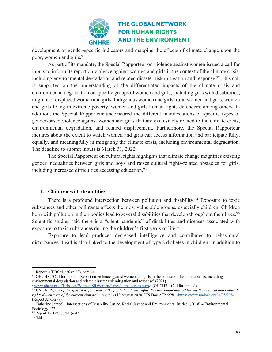

development of gender-specific indicators and mapping the effects of climate change upon the poor, women and girls.<sup>91</sup>

As part of its mandate, the Special Rapporteur on violence against women issued a call for inputs to inform its report on violence against women and girls in the context of the climate crisis, including environmental degradation and related disaster risk mitigation and response.<sup>92</sup> This call is supported on the understanding of the differentiated impacts of the climate crisis and environmental degradation on specific groups of women and girls, including girls with disabilities, migrant or displaced women and girls, Indigenous women and girls, rural women and girls, women and girls living in extreme poverty, women and girls human rights defenders, among others. In addition, the Special Rapporteur underscored the different manifestations of specific types of gender-based violence against women and girls that are exclusively related to the climate crisis, environmental degradation, and related displacement. Furthermore, the Special Rapporteur inquires about the extent to which women and girls can access information and participate fully, equally, and meaningfully in mitigating the climate crisis, including environmental degradation. The deadline to submit inputs is March 31, 2022.

The Special Rapporteur on cultural rights highlights that climate change magnifies existing gender inequalities between girls and boys and raises cultural rights-related obstacles for girls, including increased difficulties accessing education. 93

#### **F. Children with disabilities**

There is a profound intersection between pollution and disability.<sup>94</sup> Exposure to toxic substances and other pollutants affects the most vulnerable groups, especially children. Children born with pollution in their bodies lead to several disabilities that develop throughout their lives.<sup>95</sup> Scientific studies said there is a "silent pandemic" of disabilities and diseases associated with exposure to toxic substances during the children's first years of life.<sup>96</sup>

Exposure to lead produces decreased intelligence and contributes to behavioural disturbances. Lead is also linked to the development of type 2 diabetes in children. In addition to

<sup>&</sup>lt;sup>91</sup> Report A/HRC/41/26 (n 68), para 61.

 $92$  OHCHR, 'Call for inputs – Report on violence against women and girls in the context of the climate crisis, including environmental degradation and related disaster risk mitigation and response' (2021) <www.ohchr.org/EN/Issues/Women/SRWomen/Pages/climatecrisis.aspx> (OHCHR, 'Call for inputs').

<sup>93</sup> UNGA, *Report of the Special Rapporteur in the field of cultural rights, Karima Bennoune, addresses the cultural and cultural rights dimensions of the current climate emergency* (10 August 2020) UN Doc A/75/298 <https://www.undocs.org/A/75/298> (Report A/75/298).

 $94$  Catherine Jampel, 'Intersections of Disability Justice, Racial Justice and Environmental Justice' (2018) 4 Environmental Sociology 122.

<sup>95</sup> Report A/HRC/33/41 (n 42).

<sup>96</sup> Ibid.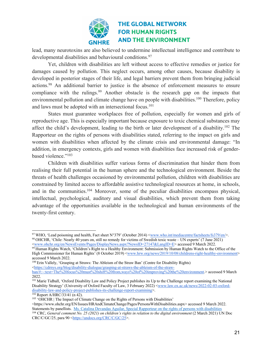

lead, many neurotoxins are also believed to undermine intellectual intelligence and contribute to developmental disabilities and behavioural conditions.<sup>97</sup>

Yet, children with disabilities are left without access to effective remedies or justice for damages caused by pollution. This neglect occurs, among other causes, because disability is developed in posterior stages of their life, and legal barriers prevent them from bringing judicial actions.<sup>98</sup> An additional barrier to justice is the absence of enforcement measures to ensure compliance with the rulings.<sup>99</sup> Another obstacle is the research gap on the impacts that environmental pollution and climate change have on people with disabilities.<sup>100</sup> Therefore, policy and laws must be adopted with an intersectional focus.<sup>101</sup>

States must guarantee workplaces free of pollution, especially for women and girls of reproductive age. This is especially important because exposure to toxic chemical substances may affect the child's development, leading to the birth or later development of a disability.<sup>102</sup> The Rapporteur on the rights of persons with disabilities stated, referring to the impact on girls and women with disabilities when affected by the climate crisis and environmental damage: "In addition, in emergency contexts, girls and women with disabilities face increased risk of genderbased violence."<sup>103</sup>

Children with disabilities suffer various forms of discrimination that hinder them from realising their full potential in the human sphere and the technological environment. Beside the threats of health challenges occasioned by environmental pollution, children with disabilities are constrained by limited access to affordable assistive technological resources at home, in schools, and in the communities.104 Moreover, some of the peculiar disabilities encompass physical, intellectual, psychological, auditory and visual disabilities, which prevent them from taking advantage of the opportunities available in the technological and human environments of the twenty-first century.

<sup>97</sup> WHO, 'Lead poisoning and health, Fact sheet N°379' (October 2014) <www.who.int/mediacentre/factsheets/fs379/en/>. <sup>98</sup> OHCHR, 'Chile: Nearly 40 years on, still no remedy for victims of Swedish toxic waste – UN experts' (7 June 2021) <www.ohchr.org/en/NewsEvents/Pages/DisplayNews.aspx?NewsID=27147&LangID=E> accessed 9 March 2022.

<sup>99</sup> Human Rights Watch, 'Children's Right to a Healthy Environment: Submission by Human Rights Watch to the Office of the High Commissioner for Human Rights' (8 October 2019) <www.hrw.org/news/2019/10/08/childrens-right-healthy-environment> accessed 9 March 2022.

<sup>100</sup> Erin Vallely, 'Grasping at Straws: The Ableism of the Straw Ban' (Centre for Disability Rights) <https://cdrnys.org/blog/disability-dialogue/grasping-at-straws-the-ableism-of-the-straw-

ban/#:~:text=The%20focus%20must%20shift%20from,ways%20of%20improving%20the%20environment.> accessed 9 March 2022.

<sup>&</sup>lt;sup>101</sup> Marie Tidball, 'Oxford Disability Law and Policy Project publishes its Up to the Challenge report examining the National Disability Strategy' (University of Oxford Faculty of Law, 3 February 2022) <www.law.ox.ac.uk/news/2022-02-03-oxforddisability-law-and-policy-project-publishes-its-challenge-report-examining>.<br><sup>102</sup> Report A/HRC/33/41 (n 42).

<sup>&</sup>lt;sup>103</sup> 'OHCHR | The Impact of Climate Change on the Rights of Persons with Disabilities'

<sup>&</sup>lt;https://www.ohchr.org/EN/Issues/HRAndClimateChange/Pages/PersonsWithDisabilities.aspx> accessed 9 March 2022. Statements by panellists. Ms. Catalina Devandas Aguilar, Special Rapporteur on the rights of persons with disabilities <sup>104</sup> CRC, *General comment No. 25 (2021) on children's rights in relation to the digital environment* (2 March 2021) UN Doc CRC/C/GC/25, para 90 <https://undocs.org/CRC/C/GC/25>.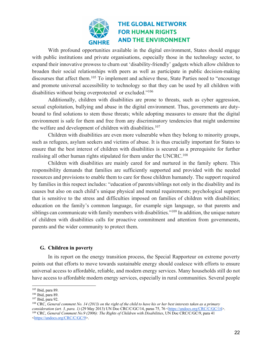

With profound opportunities available in the digital environment, States should engage with public institutions and private organisations, especially those in the technology sector, to expand their innovative prowess to churn out 'disability-friendly' gadgets which allow children to broaden their social relationships with peers as well as participate in public decision-making discourses that affect them.<sup>105</sup> To implement and achieve these, State Parties need to "encourage and promote universal accessibility to technology so that they can be used by all children with disabilities without being overprotected or excluded."<sup>106</sup>

Additionally, children with disabilities are prone to threats, such as cyber aggression, sexual exploitation, bullying and abuse in the digital environment. Thus, governments are dutybound to find solutions to stem those threats; while adopting measures to ensure that the digital environment is safe for them and free from any discriminatory tendencies that might undermine the welfare and development of children with disabilities.<sup>107</sup>

Children with disabilities are even more vulnerable when they belong to minority groups, such as refugees, asylum seekers and victims of abuse. It is thus crucially important for States to ensure that the best interest of children with disabilities is secured as a prerequisite for further realising all other human rights stipulated for them under the UNCRC.<sup>108</sup>

Children with disabilities are mainly cared for and nurtured in the family sphere. This responsibility demands that families are sufficiently supported and provided with the needed resources and provisions to enable them to care for those children humanely. The support required by families in this respect includes: "education of parents/siblings not only in the disability and its causes but also on each child's unique physical and mental requirements; psychological support that is sensitive to the stress and difficulties imposed on families of children with disabilities; education on the family's common language, for example sign language, so that parents and siblings can communicate with family members with disabilities."<sup>109</sup> In addition, the unique nature of children with disabilities calls for proactive commitment and attention from governments, parents and the wider community to protect them.

#### **G. Children in poverty**

In its report on the energy transition process, the Special Rapporteur on extreme poverty points out that efforts to move towards sustainable energy should coalesce with efforts to ensure universal access to affordable, reliable, and modern energy services. Many households still do not have access to affordable modern energy services, especially in rural communities. Several people

<sup>105</sup> Ibid, para 89.

<sup>106</sup> Ibid, para 89.

<sup>107</sup> Ibid, para 92.

<sup>108</sup> CRC, *General comment No. 14 (2013) on the right of the child to have his or her best interests taken as a primary*  consideration (art. 3, para. 1) (29 May 2013) UN Doc CRC/C/GC/14, paras 75, 76 <https://undocs.org/CRC/C/GC/14>.<br><sup>109</sup> CRC, *General Comment No.9 (2006): The Rights of Children with Disabilities*, UN Doc CRC/C/GC/9, para 4 <https://undocs.org/CRC/C/GC/9>.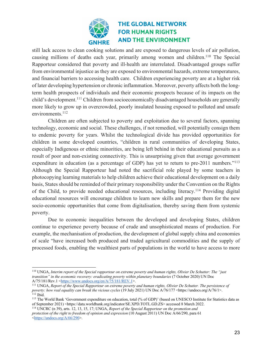

still lack access to clean cooking solutions and are exposed to dangerous levels of air pollution, causing millions of deaths each year, primarily among women and children.<sup>110</sup> The Special Rapporteur considered that poverty and ill-health are interrelated. Disadvantaged groups suffer from environmental injustice as they are exposed to environmental hazards, extreme temperatures, and financial barriers to accessing health care. Children experiencing poverty are at a higher risk of later developing hypertension or chronic inflammation. Moreover, poverty affects both the longterm health prospects of individuals and their economic prospects because of its impacts on the child's development.111 Children from socioeconomically disadvantaged households are generally more likely to grow up in overcrowded, poorly insulated housing exposed to polluted and unsafe environments.<sup>112</sup>

Children are often subjected to poverty and exploitation due to several factors, spanning technology, economic and social. These challenges, if not remedied, will potentially consign them to endemic poverty for years. Whilst the technological divide has provided opportunities for children in some developed countries, "children in rural communities of developing States, especially Indigenous or ethnic minorities, are being left behind in their educational pursuits as a result of poor and non-existing connectivity. This is unsurprising given that average government expenditure in education (as a percentage of GDP) has yet to return to pre-2011 numbers."<sup>113</sup> Although the Special Rapporteur had noted the sacrificial role played by some teachers in photocopying learning materials to help children achieve their educational development on a daily basis, States should be reminded of their primary responsibility under the Convention on the Rights of the Child, to provide needed educational resources, including literacy.114 Providing digital educational resources will encourage children to learn new skills and prepare them for the new socio-economic opportunities that come from digitalisation, thereby saving them from systemic poverty.

Due to economic inequalities between the developed and developing States, children continue to experience poverty because of crude and unsophisticated means of production. For example, the mechanisation of production, the development of global supply china and economies of scale "have increased both produced and traded agricultural commodities and the supply of processed foods, enabling the wealthiest parts of populations in the world to have access to more

<sup>114</sup> UNCRC (n 39), arts. 12, 13, 15, 17; UNGA, *Report of the Special Rapporteur on the promotion and protection of the right to freedom of opinion and expression* (10 August 2011) UN Doc A/66/290, para 61 <https://undocs.org/A/66/290>.

<sup>110</sup> UNGA, *Interim report of the Special rapporteur on extreme poverty and human rights, Olivier De Schutter: The "just transition" in the economic recovery: eradicating poverty within planetary boundaries* (7 October 2020) UN Doc A/75/181/Rev.1 < $\frac{\text{https://www.undocs.org/en/A/75/181/REV.1>}}{\text{MeV.1}}$ 

<sup>&</sup>lt;sup>111</sup> UNGA, *Report of the Special Rapporteur on extreme poverty and human rights, Olivier De Schutter. The persistence of poverty: how real equality can break the vicious cycles (19 July 2021) UN Doc A/76/177 <https://undocs.org/A/76/1>.*<br><sup>112</sup> Ibid.

<sup>113</sup> The World Bank 'Government expenditure on education, total (% of GDP)' (based on UNESCO Institute for Statistics data as of September 2021) <https://data.worldbank.org/indicator/SE.XPD.TOTL.GD.ZS> accessed 8 March 2022.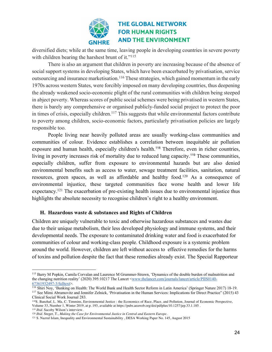

diversified diets; while at the same time, leaving people in developing countries in severe poverty with children bearing the harshest brunt of it."<sup>115</sup>

There is also an argument that children in poverty are increasing because of the absence of social support systems in developing States, which have been exacerbated by privatisation, service outsourcing and insurance marketisation.<sup>116</sup> These strategies, which gained momentum in the early 1970s across western States, were forcibly imposed on many developing countries, thus deepening the already weakened socio-economic plight of the rural communities with children being steeped in abject poverty. Whereas scores of public social schemes were being privatised in western States, there is barely any comprehensive or organised publicly-funded social project to protect the poor in times of crisis, especially children.<sup>117</sup> This suggests that while environmental factors contribute to poverty among children, socio-economic factors, particularly privatisation policies are largely responsible too.

People living near heavily polluted areas are usually working-class communities and communities of colour. Evidence establishes a correlation between inequitable air pollution exposure and human health, especially children's health.<sup>118</sup> Therefore, even in richer countries, living in poverty increases risk of mortality due to reduced lung capacity.<sup>119</sup> These communities, especially children, suffer from exposure to environmental hazards but are also denied environmental benefits such as access to water, sewage treatment facilities, sanitation, natural resources, green spaces, as well as affordable and healthy food.120 As a consequence of environmental injustice, these targeted communities face worse health and lower life expectancy.121 The exacerbation of pre-existing health issues due to environmental injustice thus highlights the absolute necessity to recognise children's right to a healthy environment.

#### **H. Hazardous waste & substances and Rights of Children**

Children are uniquely vulnerable to toxic and otherwise hazardous substances and wastes due due to their unique metabolism, their less developed physiology and immune systems, and their developmental needs. The exposure to contaminated drinking water and food is exacerbated for communities of colour and working-class people. Childhood exposure is a systemic problem around the world. However, children are left without access to effective remedies for the harms of toxins and pollution despite the fact that these remedies already exist. The Special Rapporteur

<sup>115</sup> Barry M Popkin, Camila Corvalan and Laurence M Grummer-Strawn, 'Dynamics of the double burden of malnutrition and the changing nutrition reality' (2020) 395:10217 The Lancet <www.thelancet.com/journals/lancet/article/PIIS0140-67361932497-3/fulltext>.

<sup>&</sup>lt;sup>116</sup> Shiri Noy, 'Banking on Health: The World Bank and Health Sector Reform in Latin America' (Springer Nature 2017) 18-19. <sup>117</sup> See Mimi Abramovitz and Jennifer Zelnick, 'Privatisation in the Human Services: Implications for Direct Practice" (2015) 43 Clinical Social Work Journal 283.

<sup>118</sup>S. Banzhaf, L. Ma, C. Timmins, Environmental Justice : the Economics of Race, Place, and Pollution, Journal of Economic Perspective, Volume 33, Number 1, Winter 2019, at p. 193, available at https://pubs.aeaweb.org/doi/pdfplus/10.1257/jep.33.1.185 . <sup>119</sup> *Ibid.* Sacoby Wilson's interview.

<sup>120</sup> *Ibid.* Steger, T., *Making the Case for Environmental Justice in Central and Eastern Europe.*

<sup>121</sup> S. Nazrul Islam, Inequality and Environmental Sustainability , DESA Working Paper No. 145, August 2015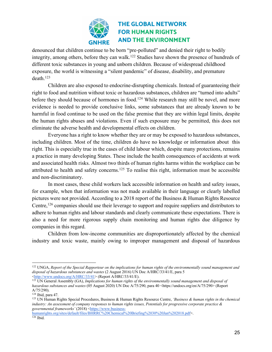

denounced that children continue to be born "pre-polluted" and denied their right to bodily integrity, among others, before they can walk. <sup>122</sup> Studies have shown the presence of hundreds of different toxic substances in young and unborn children. Because of widespread childhood exposure, the world is witnessing a "silent pandemic" of disease, disability, and premature death.123

Children are also exposed to endocrine-disrupting chemicals. Instead of guaranteeing their right to food and nutrition without toxic or hazardous substances, children are "turned into adults" before they should because of hormones in food.<sup>124</sup> While research may still be novel, and more evidence is needed to provide conclusive links, some substances that are already known to be harmful in food continue to be used on the false premise that they are within legal limits, despite the human rights abuses and violations. Even if such exposure may be permitted, this does not eliminate the adverse health and developmental effects on children.

Everyone has a right to know whether they are or may be exposed to hazardous substances, including children. Most of the time, children do have no knowledge or information about this right. This is especially true in the cases of child labour which, despite many protections, remains a practice in many developing States. These include the health consequences of accidents at work and associated health risks. Almost two thirds of human rights harms within the workplace can be attributed to health and safety concerns. <sup>125</sup> To realise this right, information must be accessible and non-discriminatory.

In most cases, these child workers lack accessible information on health and safety issues, for example, when that information was not made available in their language or clearly labelled pictures were not provided. According to a 2018 report of the Business & Human Rights Resource Centre,<sup>126</sup> companies should use their leverage to support and require suppliers and distributors to adhere to human rights and labour standards and clearly communicate these expectations. There is also a need for more rigorous supply chain monitoring and human rights due diligence by companies in this regard.

Children from low-income communities are disproportionately affected by the chemical industry and toxic waste, mainly owing to improper management and disposal of hazardous

humanrights.org/sites/default/files/BHRRC%20Chemical%20Briefing%2030%20Jan%202018.pdf>. 126 Ibid.

<sup>122</sup> UNGA, *Report of the Special Rapporteur on the implications for human rights of the environmentally sound management and disposal of hazardous substances and wastes* (2 August 2016) UN Doc A/HRC/33/41/E, para 5 <http://www.undocs.org/A/HRC/33/41> (Report A/HRC/33/41/E).

<sup>&</sup>lt;sup>123</sup> UN General Assembly (GA), *Implications for human rights of the environmentally sound management and disposal of hazardous substances and wastes* (05 August 2020) UN Doc A/75/290, para 40 <https://undocs.org/en/A/75/290> (Report A/75/290).

<sup>124</sup> Ibid, para 47.

<sup>125</sup> UN Human Rights Special Procedures, Business & Human Rights Resource Centre, *'Business & human rights in the chemical industry: An assessment of company responses to human rights issues, Potentials for progressive corporate practice & governmental frameworks'* (2018) <https://www.business-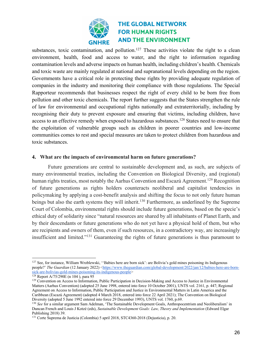

substances, toxic contamination, and pollution.<sup>127</sup> These activities violate the right to a clean environment, health, food and access to water, and the right to information regarding contamination levels and adverse impacts on human health, including children's health. Chemicals and toxic waste are mainly regulated at national and supranational levels depending on the region. Governments have a critical role in protecting these rights by providing adequate regulation of companies in the industry and monitoring their compliance with those regulations. The Special Rapporteur recommends that businesses respect the right of every child to be born free from pollution and other toxic chemicals. The report further suggests that the States strengthen the rule of law for environmental and occupational rights nationally and extraterritorially, including by recognising their duty to prevent exposure and ensuring that victims, including children, have access to an effective remedy when exposed to hazardous substances.<sup>128</sup> States need to ensure that the exploitation of vulnerable groups such as children in poorer countries and low-income communities comes to rest and special measures are taken to protect children from hazardous and toxic substances.

#### **4. What are the impacts of environmental harm on future generations?**

Future generations are central to sustainable development and, as such, are subjects of many environmental treaties, including the Convention on Biological Diversity, and (regional) human rights treaties, most notably the Aarhus Convention and Escazú Agreement.<sup>129</sup> Recognition of future generations as rights holders counteracts neoliberal and capitalist tendencies in policymaking by applying a cost-benefit analysis and shifting the focus to not only future human beings but also the earth systems they will inherit.<sup>130</sup> Furthermore, as underlined by the Supreme Court of Colombia, environmental rights should include future generations, based on the specie's ethical duty of solidarity since "natural resources are shared by all inhabitants of Planet Earth, and by their descendants or future generations who do not yet have a physical hold of them, but who are recipients and owners of them, even if such resources, in a contradictory way, are increasingly insufficient and limited."131 Guaranteeing the rights of future generations is thus paramount to

<sup>127</sup> See, for instance, William Wroblewski, ''Babies here are born sick': are Bolivia's gold mines poisoning its Indigenous people?' *The Guardian* (12 January 2022) <https://www.theguardian.com/global-development/2022/jan/12/babies-here-are-bornsick-are-bolivias-gold-mines-poisoning-its-indigenous-people><br><sup>128</sup> Report A/75/290E (n 104), para 95

<sup>&</sup>lt;sup>129</sup> Convention on Access to Information, Public Participation in Decision-Making and Access to Justice in Environmental Matters (Aarhus Convention) (adopted 25 June 1998, entered into force 10 October 2001), UNTS vol. 2161, p. 447; Regional Agreement on Access to Information, Public Participation and Justice in Environmental Matters in Latin America and the Caribbean (Escazú Agreement) (adopted 4 March 2018, entered into force 22 April 2021); The Convention on Biological Diversity (adopted 5 June 1992 entered into force 29 December 1993), UNTS vol. 1760, p.69.

<sup>&</sup>lt;sup>130</sup> See for a similar argument Sam Adelman, 'The Sustainable Development Goals, Anthropocentrism and Neoliberalism' in Duncan French and Louis J Kotzé (eds), *Sustainable Development Goals: Law, Theory and Implementation* (Edward Elgar Publishing 2018) 39.

<sup>131</sup> Corte Suprema de Justicia (Colombia) 5 april 2018, STC4360-2018 (Dejusticia), p. 20.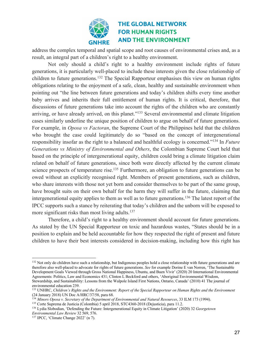

address the complex temporal and spatial scope and root causes of environmental crises and, as a result, an integral part of a children's right to a healthy environment.

Not only should a child's right to a healthy environment include rights of future generations, it is particularly well-placed to include these interests given the close relationship of children to future generations.<sup>132</sup> The Special Rapporteur emphasises this view on human rights obligations relating to the enjoyment of a safe, clean, healthy and sustainable environment when pointing out "the line between future generations and today's children shifts every time another baby arrives and inherits their full entitlement of human rights. It is critical, therefore, that discussions of future generations take into account the rights of the children who are constantly arriving, or have already arrived, on this planet."<sup>133</sup> Several environmental and climate litigation cases similarly underline the unique position of children to argue on behalf of future generations. For example, in *Oposa vs Factoran*, the Supreme Court of the Philippines held that the children who brought the case could legitimately do so "based on the concept of intergenerational responsibility insofar as the right to a balanced and healthful ecology is concerned."134 In *Future Generations vs Ministry of Environmental and Others*, the Colombian Supreme Court held that based on the principle of intergenerational equity, children could bring a climate litigation claim related on behalf of future generations, since both were directly affected by the current climate science prospects of temperature rise.<sup>135</sup> Furthermore, an obligation to future generations can be owed without an explicitly recognised right. Members of present generations, such as children, who share interests with those not yet born and consider themselves to be part of the same group, have brought suits on their own behalf for the harm they will suffer in the future, claiming that intergenerational equity applies to them as well as to future generations.136 The latest report of the IPCC supports such a stance by reiterating that today's children and the unborn will be exposed to more significant risks than most living adults.<sup>137</sup>

Therefore, a child's right to a healthy environment should account for future generations. As stated by the UN Special Rapporteur on toxic and hazardous wastes, "States should be in a position to explain and be held accountable for how they respected the right of present and future children to have their best interests considered in decision-making, including how this right has

<sup>&</sup>lt;sup>132</sup> Not only do children have such a relationship, but Indigenous peoples hold a close relationship with future generations and are therefore also well-placed to advocate for rights of future generations. *See* for example Dorine E van Norren, 'The Sustainable Development Goals Viewed through Gross National Happiness, Ubuntu, and Buen Vivir' (2020) 20 International Environmental Agreements: Politics, Law and Economics 431; Clinton L Beckford and others, 'Aboriginal Environmental Wisdom, Stewardship, and Sustainability: Lessons from the Walpole Island First Nations, Ontario, Canada' (2010) 41 The journal of environmental education 239.

<sup>133</sup> UNHRC, *Children's Rights and the Environment: Report of the Special Rapporteur on Human Rights and the Environment* (24 January 2018) UN Doc A/HRC/37/58, para 68.

<sup>134</sup> *Minors Oposa v. Secretary of the Department of Environmental and Natural Resources*, 33 ILM 173 (1994).

<sup>135</sup> Corte Suprema de Justicia (Colombia) 5 april 2018, STC4360-2018 (Dejusticia), para 11.2.

<sup>136</sup> Lydia Slobodian, 'Defending the Future: Intergenerational Equity in Climate Litigation' (2020) 32 *Georgetown Environmental Law Review* 32 569, 576.

<sup>137</sup> IPCC, 'Climate Change 2022' (n 7).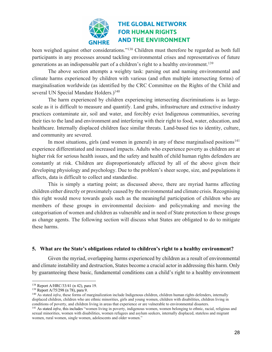

been weighed against other considerations."<sup>138</sup> Children must therefore be regarded as both full participants in any processes around tackling environmental crises and representatives of future generations as an indispensable part of a children's right to a healthy environment.<sup>139</sup>

The above section attempts a weighty task: parsing out and naming environmental and climate harms experienced by children with various (and often multiple intersecting forms) of marginalisation worldwide (as identified by the CRC Committee on the Rights of the Child and several UN Special Mandate Holders.)<sup>140</sup>

The harm experienced by children experiencing intersecting discriminations is as largescale as it is difficult to measure and quantify. Land grabs, infrastructure and extractive industry practices contaminate air, soil and water, and forcibly evict Indigenous communities, severing their ties to the land and environment and interfering with their right to food, water, education, and healthcare. Internally displaced children face similar threats. Land-based ties to identity, culture, and community are severed.

In most situations, girls (and women in general) in any of these marginalised positions<sup>141</sup> experience differentiated and increased impacts. Adults who experience poverty as children are at higher risk for serious health issues, and the safety and health of child human rights defenders are constantly at risk. Children are disproportionately affected by all of the above given their developing physiology and psychology. Due to the problem's sheer scope, size, and populations it affects, data is difficult to collect and standardise.

This is simply a starting point; as discussed above, there are myriad harms affecting children either directly or proximately caused by the environmental and climate crisis. Recognising this right would move towards goals such as the meaningful participation of children who are members of these groups in environmental decision- and policymaking and moving the categorisation of women and children as vulnerable and in need of State protection to these groups as change agents. The following section will discuss what States are obligated to do to mitigate these harms.

#### **5. What are the State's obligations related to children's right to a healthy environment?**

Given the myriad, overlapping harms experienced by children as a result of environmental and climate instability and destruction, States become a crucial actor in addressing this harm. Only by guaranteeing these basic, fundamental conditions can a child's right to a healthy environment

<sup>138</sup> Report A/HRC/33/41 (n 42), para 19.

<sup>139</sup> Report A/75/298 (n 78), para 9.

<sup>140</sup> As stated *infra*, these forms of marginalization include Indigenous children, children human rights defenders, internally displaced children, children who are ethnic minorities, girls and young women, children with disabilities, children living in conditions of poverty, and children living in areas that experience or are vulnerable to environmental disasters.

<sup>141</sup> As stated *infra*, this includes "women living in poverty, indigenous women, women belonging to ethnic, racial, religious and sexual minorities, women with disabilities, women refugees and asylum seekers, internally displaced, stateless and migrant women, rural women, single women, adolescents and older women."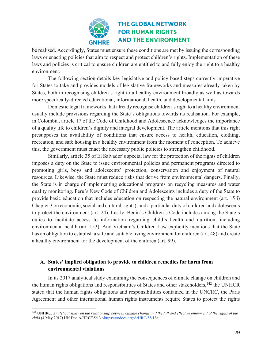

be realised. Accordingly, States must ensure these conditions are met by issuing the corresponding laws or enacting policies that aim to respect and protect children's rights. Implementation of these laws and policies is critical to ensure children are entitled to and fully enjoy the right to a healthy environment.

The following section details key legislative and policy-based steps currently imperative for States to take and provides models of legislative frameworks and measures already taken by States, both in recognising children's right to a healthy environment broadly as well as towards more specifically-directed educational, informational, health, and developmental aims.

Domestic legal frameworks that already recognise children's right to a healthy environment usually include provisions regarding the State's obligations towards its realisation. For example, in Colombia, article 17 of the Code of Childhood and Adolescence acknowledges the importance of a quality life to children's dignity and integral development. The article mentions that this right presupposes the availability of conditions that ensure access to health, education, clothing, recreation, and safe housing in a healthy environment from the moment of conception. To achieve this, the government must enact the necessary public policies to strengthen childhood.

Similarly, article 35 of El Salvador's special law for the protection of the rights of children imposes a duty on the State to issue environmental policies and permanent programs directed to promoting girls, boys and adolescents' protection, conservation and enjoyment of natural resources. Likewise, the State must reduce risks that derive from environmental dangers. Finally, the State is in charge of implementing educational programs on recycling measures and water quality monitoring. Peru's New Code of Children and Adolescents includes a duty of the State to provide basic education that includes education on respecting the natural environment (art. 15 i) Chapter 3 on economic, social and cultural rights), and a particular duty of children and adolescents to protect the environment (art. 24). Lastly, Benin's Children's Code includes among the State's duties to facilitate access to information regarding child's health and nutrition, including environmental health (art. 153). And Vietnam's Children Law explicitly mentions that the State has an obligation to establish a safe and suitable living environment for children (art. 48) and create a healthy environment for the development of the children (art. 99).

### **A. States' implied obligation to provide to children remedies for harm from environmental violations**

In its 2017 analytical study examining the consequences of climate change on children and the human rights obligations and responsibilities of States and other stakeholders,<sup>142</sup> the UNHCR stated that the human rights obligations and responsibilities contained in the UNCRC, the Paris Agreement and other international human rights instruments require States to protect the rights

<sup>&</sup>lt;sup>142</sup> UNHRC, *Analytical study on the relationship between climate change and the full and effective enjoyment of the rights of the child* (4 May 2017) UN Doc A/HRC/35/13 <https://undocs.org/A/HRC/35/13>.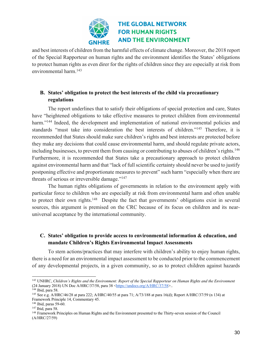

and best interests of children from the harmful effects of climate change. Moreover, the 2018 report of the Special Rapporteur on human rights and the environment identifies the States' obligations to protect human rights as even direr for the rights of children since they are especially at risk from environmental harm.143

### **B. States' obligation to protect the best interests of the child via precautionary regulations**

The report underlines that to satisfy their obligations of special protection and care, States have "heightened obligations to take effective measures to protect children from environmental harm."<sup>144</sup> Indeed, the development and implementation of national environmental policies and standards "must take into consideration the best interests of children."145 Therefore, it is recommended that States should make sure children's rights and best interests are protected before they make any decisions that could cause environmental harm, and should regulate private actors, including businesses, to prevent them from causing or contributing to abuses of children's rights.<sup>146</sup> Furthermore, it is recommended that States take a precautionary approach to protect children against environmental harm and that "lack of full scientific certainty should never be used to justify postponing effective and proportionate measures to prevent" such harm "especially when there are threats of serious or irreversible damage."<sup>147</sup>

The human rights obligations of governments in relation to the environment apply with particular force to children who are especially at risk from environmental harm and often unable to protect their own rights.<sup>148</sup> Despite the fact that governments' obligations exist in several sources, this argument is premised on the CRC because of its focus on children and its nearuniversal acceptance by the international community.

### **C. States' obligation to provide access to environmental information & education, and mandate Children's Rights Environmental Impact Assessments**

To stem actions/practices that may interfere with children's ability to enjoy human rights, there is a need for an environmental impact assessment to be conducted prior to the commencement of any developmental projects, in a given community, so as to protect children against hazards

<sup>143</sup> UNHRC, *Children's Rights and the Environment: Report of the Special Rapporteur on Human Rights and the Environment* (24 January 2018) UN Doc A/HRC/37/58, para 38 <https://undocs.org/A/HRC/37/58>..

<sup>&</sup>lt;sup>144</sup> Ibid, para 58.

<sup>145</sup> See e.g. A/HRC/46/28 at para 222; A/HRC/40/55 at para 71; A/73/188 at para 16(d); Report A/HRC/37/59 (n 134) at Framework Principle 14, Commentary 45.

<sup>146</sup> Ibid, paras 59-60.

<sup>147</sup> Ibid, para 58.

<sup>&</sup>lt;sup>148</sup> Framework Principles on Human Rights and the Environment presented to the Thirty-seven session of the Council (A/HRC/27/59)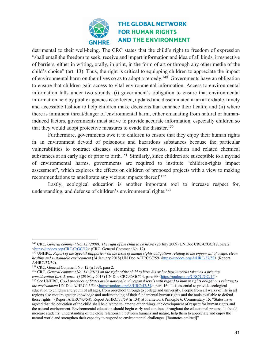

detrimental to their well-being. The CRC states that the child's right to freedom of expression "shall entail the freedom to seek, receive and impart information and idea of all kinds, irrespective of barriers, either in writing, orally, in print, in the form of art or through any other media of the child's choice" (art. 13). Thus, the right is critical to equipping children to appreciate the impact of environmental harm on their lives so as to adopt a remedy.149 Governments have an obligation to ensure that children gain access to vital environmental information. Access to environmental information falls under two strands: (i) government's obligation to ensure that environmental information held by public agencies is collected, updated and disseminated in an affordable, timely and accessible fashion to help children make decisions that enhance their health; and (ii) where there is imminent threat/danger of environmental harm, either emanating from natural or humaninduced factors, governments must strive to provide accurate information, especially children so that they would adopt protective measures to evade the disaster.<sup>150</sup>

Furthermore, governments owe it to children to ensure that they enjoy their human rights in an environment devoid of poisonous and hazardous substances because the particular vulnerabilities to contract diseases stemming from wastes, pollution and related chemical substances at an early age or prior to birth.<sup>151</sup> Similarly, since children are susceptible to a myriad of environmental harms, governments are required to institute "children-rights impact assessment", which explores the effects on children of proposed projects with a view to making recommendations to ameliorate any vicious impacts thereof.<sup>152</sup>

Lastly, ecological education is another important tool to increase respect for, understanding, and defense of children's environmental rights.153

<sup>&</sup>lt;sup>149</sup> CRC, *General comment No. 12 (2009): The right of the child to be heard* (20 July 2009) UN Doc CRC/C/GC/12, para 2<br><https://undocs.org/CRC/C/GC/12> (CRC, General Comment No. 12)

<sup>&</sup>lt;sup>150</sup> UNHRC, *Report of the Special Rapporteur on the issue of human rights obligations relating to the enjoyment of a safe, clean, healthy and sustainable environment* (24 January 2018) UN Doc A/HRC/37/59 <https://undocs.org/A/HRC/37/59> (Report A/HRC/37/59).

<sup>151</sup> CRC, General Comment No. 12 (n 133), para 2.

<sup>152</sup> CRC, *General comment No. 14 (2013) on the right of the child to have his or her best interests taken as a primary consideration (art. 3, para. 1)* (29 May 2013) UN Doc CRC/C/GC/14, para 99 <https://undocs.org/CRC/C/GC/14>.

<sup>153</sup> See UNHRC, *Good practices of States at the national and regional levels with regard to human rights obligations relating to the environment* UN Doc A/HRC/43/54 <https://undocs.org/A/HRC/43/54>, para 16: "It is essential to provide ecological education to children and youth of all ages, from preschool through to college and university. People from all walks of life in all regions also require greater knowledge and understanding of their fundamental human rights and the tools available to defend those rights." (Report A/HRC/43/54); Report A/HRC/37/59 (n 134) at Framework Principle 6, Commentary 15: "States have agreed that the education of the child shall be directed to, among other things, the development of respect for human rights and the natural environment. Environmental education should begin early and continue throughout the educational process. It should increase students' understanding of the close relationship between humans and nature, help them to appreciate and enjoy the natural world and strengthen their capacity to respond to environmental challenges. [footnotes omitted]"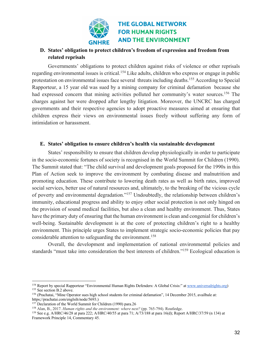

### **D. States' obligation to protect children's freedom of expression and freedom from related reprisals**

Governments' obligations to protect children against risks of violence or other reprisals regarding environmental issues is critical.<sup>154</sup> Like adults, children who express or engage in public protestation on environmental issues face several threats including deaths.155 According to Special Rapporteur, a 15 year old was sued by a mining company for criminal defamation because she had expressed concern that mining activities polluted her community's water sources.<sup>156</sup> The charges against her were dropped after lengthy litigation. Moreover, the UNCRC has charged governments and their respective agencies to adopt proactive measures aimed at ensuring that children express their views on environmental issues freely without suffering any form of intimidation or harassment.

#### **E. States' obligation to ensure children's health via sustainable development**

States' responsibility to ensure that children develop physiologically in order to participate in the socio-economic fortunes of society is recognised in the World Summit for Children (1990). The Summit stated that: "The child survival and development goals proposed for the 1990s in this Plan of Action seek to improve the environment by combating disease and malnutrition and promoting education. These contribute to lowering death rates as well as birth rates, improved social services, better use of natural resources and, ultimately, to the breaking of the vicious cycle of poverty and environmental degradation."157 Undoubtedly, the relationship between children's immunity, educational progress and ability to enjoy other social protection is not only hinged on the provision of sound medical facilities, but also a clean and healthy environment. Thus, States have the primary duty of ensuring that the human environment is clean and congenial for children's well-being. Sustainable development is at the core of protecting children's right to a healthy environment. This principle urges States to implement strategic socio-economic policies that pay considerable attention to safeguarding the environment.<sup>158</sup>

Overall, the development and implementation of national environmental policies and standards "must take into consideration the best interests of children."159 Ecological education is

<sup>&</sup>lt;sup>154</sup> Report by special Rapporteur "Environmental Human Rights Defenders: A Global Crisis:" at www.universalrights.org) <sup>155</sup> See section B.2 above.

<sup>156</sup> (Prachatai, "Mine Operator sues high school students for criminal defamation", 14 December 2015, availbale at: https;//prachatai.com/englsih/node/5693.)

 $157$  Declaration of the World Summit for Children (1990) para.26

<sup>158</sup> Alan, B., 2017. *Human rights and the environment: where next?* (pp. 765-794). Routledge.

<sup>159</sup> See e.g. A/HRC/46/28 at para 222; A/HRC/40/55 at para 71; A/73/188 at para 16(d); Report A/HRC/37/59 (n 134) at Framework Principle 14, Commentary 45.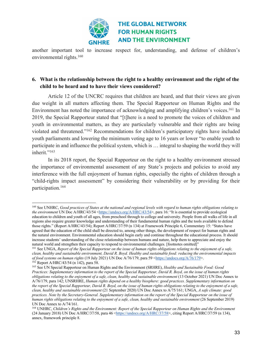

another important tool to increase respect for, understanding, and defense of children's environmental rights.<sup>160</sup>

#### **6. What is the relationship between the right to a healthy environment and the right of the child to be heard and to have their views considered?**

Article 12 of the UNCRC requires that children are heard, and that their views are given due weight in all matters affecting them. The Special Rapporteur on Human Rights and the Environment has noted the importance of acknowledging and amplifying children's voices.<sup>161</sup> In 2019, the Special Rapporteur stated that "[t]here is a need to promote the voices of children and youth in environmental matters, as they are particularly vulnerable and their rights are being violated and threatened."162 Recommendations for children's participatory rights have included youth parliaments and lowering the minimum voting age to 16 years or lower "to enable youth to participate in and influence the political system, which is … integral to shaping the world they will inherit."<sup>163</sup>

In its 2018 report, the Special Rapporteur on the right to a healthy environment stressed the importance of environmental assessment of any State's projects and policies to avoid any interference with the full enjoyment of human rights, especially the rights of children through a "child-rights impact assessment" by considering their vulnerability or by providing for their participation.164

<sup>160</sup> See UNHRC, *Good practices of States at the national and regional levels with regard to human rights obligations relating to the environment* UN Doc A/HRC/43/54 <https://undocs.org/A/HRC/43/54>, para 16: "It is essential to provide ecological education to children and youth of all ages, from preschool through to college and university. People from all walks of life in all regions also require greater knowledge and understanding of their fundamental human rights and the tools available to defend those rights." (Report A/HRC/43/54); Report A/HRC/37/59 (n 134) at Framework Principle 6, Commentary 15: "States have agreed that the education of the child shall be directed to, among other things, the development of respect for human rights and the natural environment. Environmental education should begin early and continue throughout the educational process. It should increase students' understanding of the close relationship between humans and nature, help them to appreciate and enjoy the natural world and strengthen their capacity to respond to environmental challenges. [footnotes omitted]"

<sup>161</sup> See UNGA, *Report of the Special Rapporteur on the issue of human rights obligations relating to the enjoyment of a safe, clean, healthy and sustainable environment, David R. Boyd. Healthy and sustainable food: reducing the environmental impacts of food systems on human rights* (19 July 2021) UN Doc A/76/179, para 59 <https://undocs.org/A/76/179>. <sup>162</sup> Report A/HRC/43/54 (n 142), para 58.

<sup>163</sup> See UN Special Rapporteur on Human Rights and the Environment (SRHRE), *Healthy and Sustainable Food: Good Practices: Supplementary information to the report of the Special Rapporteur, David R. Boyd, on the issue of human rights obligations relating to the enjoyment of a safe, clean, healthy and sustainable environment* (13 October 2021) UN Doc Annex to A/76/179, para 142; UNSRHRE, *Human rights depend on a healthy biosphere: good practices. Supplementary information on the report of the Special Rapporteur, David R. Boyd, on the issue of human rights obligations relating to the enjoyment of a safe, clean, healthy and sustainable environment* (21 September 2020) UN Doc Annex to A/75/161; UNGA, *A safe climate: good practices. Note by the Secretary-General. Supplementary information on the report of the Special Rapporteur on the issue of human rights obligations relating to the enjoyment of a safe, clean, healthy and sustainable environment* (26 September 2019) UN Doc Annex to A/74/161.

<sup>164</sup> UNHRC, *Children's Rights and the Environment: Report of the Special Rapporteur on Human Rights and the Environment* (24 January 2018) UN Doc A/HRC/37/58, para 46 <https://undocs.org/A/HRC/37/58>, citing Report A/HRC/37/59 (n 134), annex, framework principle 8.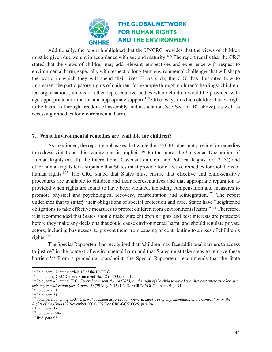

Additionally, the report highlighted that the UNCRC provides that the views of children must be given due weight in accordance with age and maturity.<sup>165</sup> The report recalls that the CRC stated that the views of children may add relevant perspectives and experience with respect to environmental harm, especially with respect to long-term environmental challenges that will shape the world in which they will spend their lives.166 As such, the CRC has illustrated how to implement the participatory rights of children, for example through children's hearings; childrenled organisations, unions or other representative bodies where children would be provided with age-appropriate information and appropriate support.<sup>167</sup> Other ways in which children have a right to be heard is through freedom of assembly and association (see Section B2 above), as well as accessing remedies for environmental harm.

#### **7. What Environmental remedies are available for children?**

As mentioned, the report emphasises that while the UNCRC does not provide for remedies to redress violations, this requirement is implicit.<sup>168</sup> Furthermore, the Universal Declaration of Human Rights (art. 8), the International Covenant on Civil and Political Rights (art. 2 (3)) and other human rights texts stipulate that States must provide for effective remedies for violations of human rights.<sup>169</sup> The CRC stated that States must ensure that effective and child-sensitive procedures are available to children and their representatives and that appropriate reparation is provided when rights are found to have been violated, including compensation and measures to promote physical and psychological recovery, rehabilitation and reintegration.170 The report underlines that to satisfy their obligations of special protection and care, States have "heightened obligations to take effective measures to protect children from environmental harm."171 Therefore, it is recommended that States should make sure children's rights and best interests are protected before they make any decisions that could cause environmental harm, and should regulate private actors, including businesses, to prevent them from causing or contributing to abuses of children's rights.172

The Special Rapporteur has recognised that "children may face additional barriers to access to justice" in the context of environmental harm and that States must take steps to remove these barriers.<sup>173</sup> From a procedural standpoint, the Special Rapporteur recommends that the State

<sup>&</sup>lt;sup>165</sup> Ibid, para 47, citing article 12 of the UNCRC.<br><sup>166</sup> Ibid, citing CRC, General Comment No. 12 (n 133), para 12.

<sup>167</sup> Ibid, para 49, citing CRC, *General comment No. 14 (2013) on the right of the child to have his or her best interests taken as a primary consideration (art. 3, para. 1)* (29 May 2013) UN Doc CRC/C/GC/14, paras 91, 134.

<sup>168</sup> Ibid, para 51.

<sup>169</sup> Ibid, para 51.

<sup>170</sup> Ibid, para 53, citing CRC, *General comment no. 5 (2003): General measures of implementation of the Convention on the Rights of the Child* (27 November 2003) UN Doc CRC/GC/2003/5, para 24.

<sup>171</sup> Ibid, para 58.

<sup>172</sup> Ibid, paras 59-60.

<sup>173</sup> Ibid, para 53.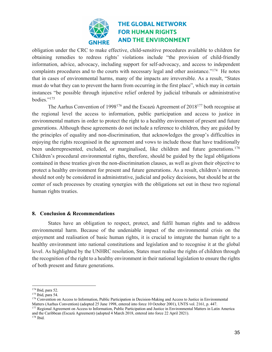

obligation under the CRC to make effective, child-sensitive procedures available to children for obtaining remedies to redress rights' violations include "the provision of child-friendly information, advice, advocacy, including support for self-advocacy, and access to independent complaints procedures and to the courts with necessary legal and other assistance."<sup>174</sup> He notes that in cases of environmental harms, many of the impacts are irreversible. As a result, "States must do what they can to prevent the harm from occurring in the first place", which may in certain instances "be possible through injunctive relief ordered by judicial tribunals or administrative bodies."175

The Aarhus Convention of 1998176 and the Escazú Agreement of 2018177 both recognise at the regional level the access to information, public participation and access to justice in environmental matters in order to protect the right to a healthy environment of present and future generations. Although these agreements do not include a reference to children, they are guided by the principles of equality and non-discrimination, that acknowledges the group's difficulties in enjoying the rights recognised in the agreement and vows to include those that have traditionally been underrepresented, excluded, or marginalised, like children and future generations.<sup>178</sup> Children's procedural environmental rights, therefore, should be guided by the legal obligations contained in these treaties given the non-discrimination clauses, as well as given their objective to protect a healthy environment for present and future generations. As a result, children's interests should not only be considered in administrative, judicial and policy decisions, but should be at the center of such processes by creating synergies with the obligations set out in these two regional human rights treaties.

#### **8. Conclusion & Recommendations**

States have an obligation to respect, protect, and fulfil human rights and to address environmental harm. Because of the undeniable impact of the environmental crisis on the enjoyment and realisation of basic human rights, it is crucial to integrate the human right to a healthy environment into national constitutions and legislation and to recognise it at the global level. As highlighted by the UNHRC resolution, States must realise the rights of children through the recognition of the right to a healthy environment in their national legislation to ensure the rights of both present and future generations.

<sup>174</sup> Ibid, para 52.

<sup>175</sup> Ibid, para 54.

<sup>176</sup> Convention on Access to Information, Public Participation in Decision-Making and Access to Justice in Environmental Matters (Aarhus Convention) (adopted 25 June 1998, entered into force 10 October 2001), UNTS vol. 2161, p. 447.

<sup>&</sup>lt;sup>177</sup> Regional Agreement on Access to Information, Public Participation and Justice in Environmental Matters in Latin America and the Caribbean (Escazú Agreement) (adopted 4 March 2018, entered into force 22 April 2021).

<sup>178</sup> Ibid.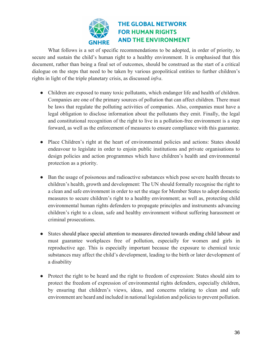

What follows is a set of specific recommendations to be adopted, in order of priority, to secure and sustain the child's human right to a healthy environment. It is emphasised that this document, rather than being a final set of outcomes, should be construed as the start of a critical dialogue on the steps that need to be taken by various geopolitical entities to further children's rights in light of the triple planetary crisis, as discussed *infra*.

- Children are exposed to many toxic pollutants, which endanger life and health of children. Companies are one of the primary sources of pollution that can affect children. There must be laws that regulate the polluting activities of companies. Also, companies must have a legal obligation to disclose information about the pollutants they emit. Finally, the legal and constitutional recognition of the right to live in a pollution-free environment is a step forward, as well as the enforcement of measures to ensure compliance with this guarantee.
- Place Children's right at the heart of environmental policies and actions: States should endeavour to legislate in order to enjoin public institutions and private organisations to design policies and action programmes which have children's health and environmental protection as a priority.
- Ban the usage of poisonous and radioactive substances which pose severe health threats to children's health, growth and development: The UN should formally recognise the right to a clean and safe environment in order to set the stage for Member States to adopt domestic measures to secure children's right to a healthy environment; as well as, protecting child environmental human rights defenders to propagate principles and instruments advancing children's right to a clean, safe and healthy environment without suffering harassment or criminal prosecutions.
- States should place special attention to measures directed towards ending child labour and must guarantee workplaces free of pollution, especially for women and girls in reproductive age. This is especially important because the exposure to chemical toxic substances may affect the child's development, leading to the birth or later development of a disability
- Protect the right to be heard and the right to freedom of expression: States should aim to protect the freedom of expression of environmental rights defenders, especially children, by ensuring that children's views, ideas, and concerns relating to clean and safe environment are heard and included in national legislation and policies to prevent pollution.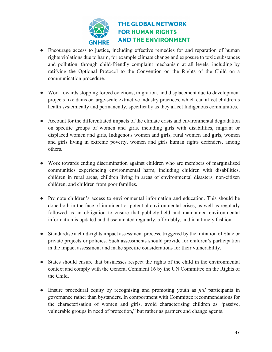

- Encourage access to justice, including effective remedies for and reparation of human rights violations due to harm, for example climate change and exposure to toxic substances and pollution, through child-friendly complaint mechanism at all levels, including by ratifying the Optional Protocol to the Convention on the Rights of the Child on a communication procedure.
- Work towards stopping forced evictions, migration, and displacement due to development projects like dams or large-scale extractive industry practices, which can affect children's health systemically and permanently, specifically as they affect Indigenous communities.
- Account for the differentiated impacts of the climate crisis and environmental degradation on specific groups of women and girls, including girls with disabilities, migrant or displaced women and girls, Indigenous women and girls, rural women and girls, women and girls living in extreme poverty, women and girls human rights defenders, among others.
- Work towards ending discrimination against children who are members of marginalised communities experiencing environmental harm, including children with disabilities, children in rural areas, children living in areas of environmental disasters, non-citizen children, and children from poor families.
- Promote children's access to environmental information and education. This should be done both in the face of imminent or potential environmental crises, as well as regularly followed as an obligation to ensure that publicly-held and maintained environmental information is updated and disseminated regularly, affordably, and in a timely fashion.
- Standardise a child-rights impact assessment process, triggered by the initiation of State or private projects or policies. Such assessments should provide for children's participation in the impact assessment and make specific considerations for their vulnerability.
- States should ensure that businesses respect the rights of the child in the environmental context and comply with the General Comment 16 by the UN Committee on the Rights of the Child.
- Ensure procedural equity by recognising and promoting youth as *full* participants in governance rather than bystanders. In comportment with Committee recommendations for the characterisation of women and girls, avoid characterising children as "passive, vulnerable groups in need of protection," but rather as partners and change agents.